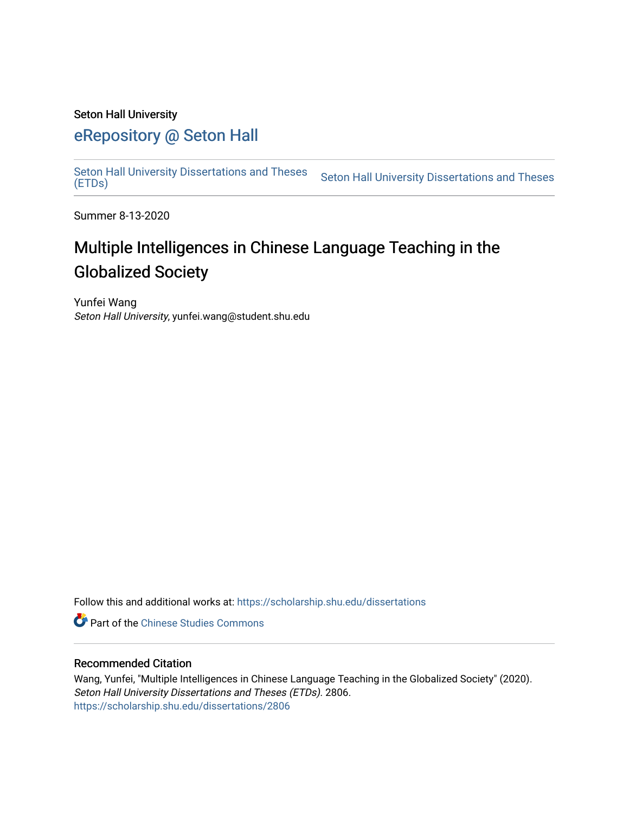## Seton Hall University

# [eRepository @ Seton Hall](https://scholarship.shu.edu/)

Seton Hall University Dissertations and Theses<br>(ETDs)

Seton Hall University Dissertations and Theses

Summer 8-13-2020

# Multiple Intelligences in Chinese Language Teaching in the Globalized Society

Yunfei Wang Seton Hall University, yunfei.wang@student.shu.edu

Follow this and additional works at: [https://scholarship.shu.edu/dissertations](https://scholarship.shu.edu/dissertations?utm_source=scholarship.shu.edu%2Fdissertations%2F2806&utm_medium=PDF&utm_campaign=PDFCoverPages) 

**Part of the [Chinese Studies Commons](http://network.bepress.com/hgg/discipline/1081?utm_source=scholarship.shu.edu%2Fdissertations%2F2806&utm_medium=PDF&utm_campaign=PDFCoverPages)** 

## Recommended Citation

Wang, Yunfei, "Multiple Intelligences in Chinese Language Teaching in the Globalized Society" (2020). Seton Hall University Dissertations and Theses (ETDs). 2806. [https://scholarship.shu.edu/dissertations/2806](https://scholarship.shu.edu/dissertations/2806?utm_source=scholarship.shu.edu%2Fdissertations%2F2806&utm_medium=PDF&utm_campaign=PDFCoverPages)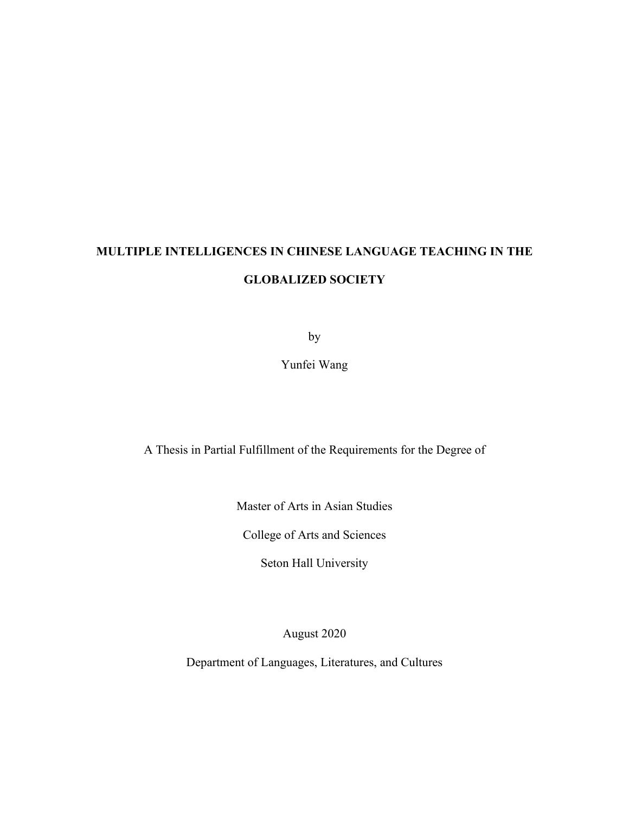# **MULTIPLE INTELLIGENCES IN CHINESE LANGUAGE TEACHING IN THE GLOBALIZED SOCIETY**

by

Yunfei Wang

A Thesis in Partial Fulfillment of the Requirements for the Degree of

Master of Arts in Asian Studies

College of Arts and Sciences

Seton Hall University

August 2020

Department of Languages, Literatures, and Cultures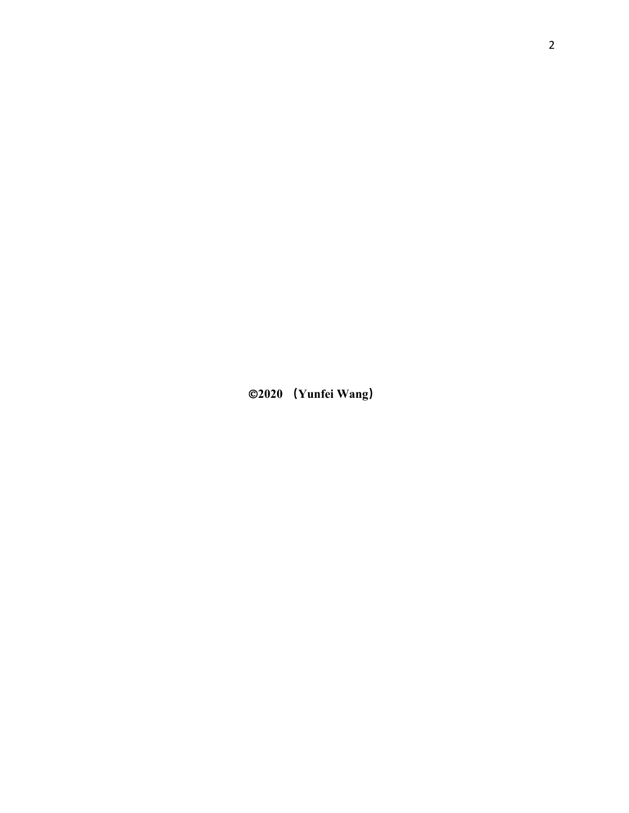Ó**2020 (Yunfei Wang)**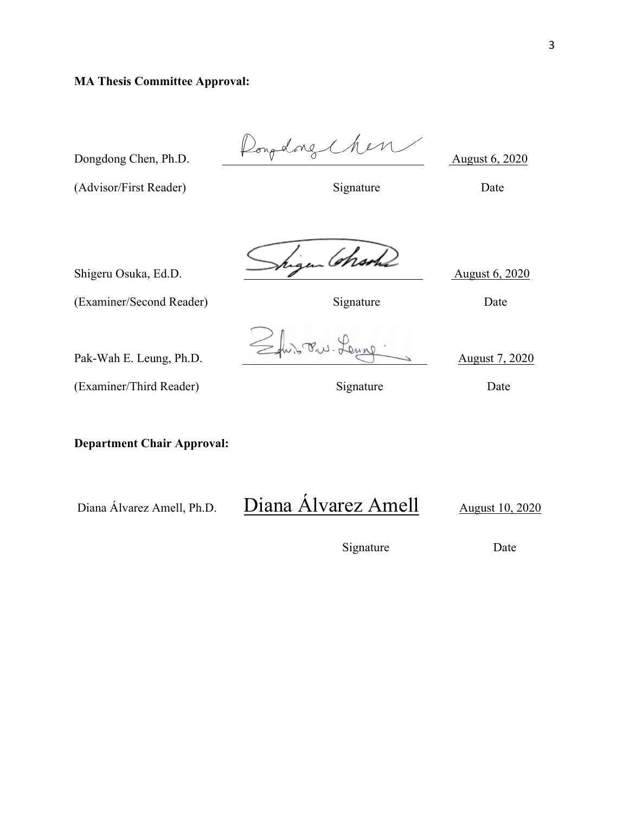# **MA Thesis Committee Approval:**

Dongdong Chen, Ph.D. Rongdong Chen August 6, 2020 (Advisor/First Reader) Signature Date Shigeru Osuka, Ed.D. Shigen Charles August 6, 2020 (Examiner/Second Reader) Signature Date  $Pak-Wah E. Leung, Ph.D.$   $\leq \dots$   $\leq \dots$   $\leq \dots$   $\leq \dots$   $\leq \dots$   $\leq \dots$   $\leq \dots$  August 7, 2020 (Examiner/Third Reader) Signature Date

**Department Chair Approval:**

# Diana Álvarez Amell, Ph.D. Diana Álvarez Amell August 10, 2020

Signature Date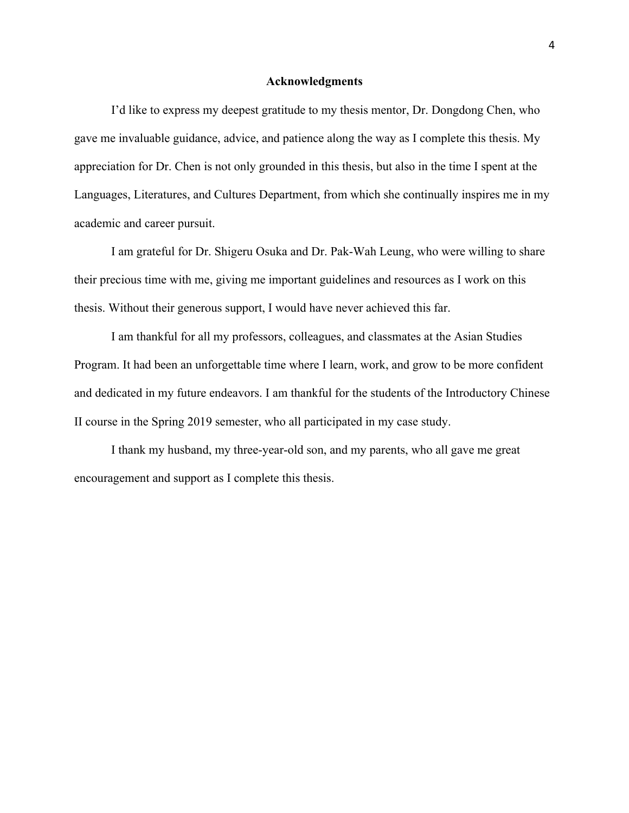#### **Acknowledgments**

I'd like to express my deepest gratitude to my thesis mentor, Dr. Dongdong Chen, who gave me invaluable guidance, advice, and patience along the way as I complete this thesis. My appreciation for Dr. Chen is not only grounded in this thesis, but also in the time I spent at the Languages, Literatures, and Cultures Department, from which she continually inspires me in my academic and career pursuit.

I am grateful for Dr. Shigeru Osuka and Dr. Pak-Wah Leung, who were willing to share their precious time with me, giving me important guidelines and resources as I work on this thesis. Without their generous support, I would have never achieved this far.

I am thankful for all my professors, colleagues, and classmates at the Asian Studies Program. It had been an unforgettable time where I learn, work, and grow to be more confident and dedicated in my future endeavors. I am thankful for the students of the Introductory Chinese II course in the Spring 2019 semester, who all participated in my case study.

I thank my husband, my three-year-old son, and my parents, who all gave me great encouragement and support as I complete this thesis.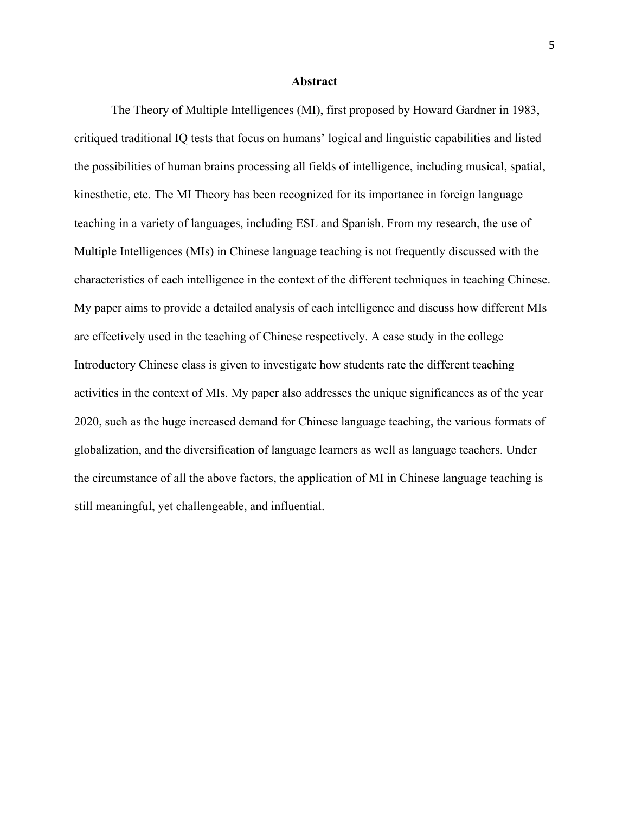#### **Abstract**

The Theory of Multiple Intelligences (MI), first proposed by Howard Gardner in 1983, critiqued traditional IQ tests that focus on humans' logical and linguistic capabilities and listed the possibilities of human brains processing all fields of intelligence, including musical, spatial, kinesthetic, etc. The MI Theory has been recognized for its importance in foreign language teaching in a variety of languages, including ESL and Spanish. From my research, the use of Multiple Intelligences (MIs) in Chinese language teaching is not frequently discussed with the characteristics of each intelligence in the context of the different techniques in teaching Chinese. My paper aims to provide a detailed analysis of each intelligence and discuss how different MIs are effectively used in the teaching of Chinese respectively. A case study in the college Introductory Chinese class is given to investigate how students rate the different teaching activities in the context of MIs. My paper also addresses the unique significances as of the year 2020, such as the huge increased demand for Chinese language teaching, the various formats of globalization, and the diversification of language learners as well as language teachers. Under the circumstance of all the above factors, the application of MI in Chinese language teaching is still meaningful, yet challengeable, and influential.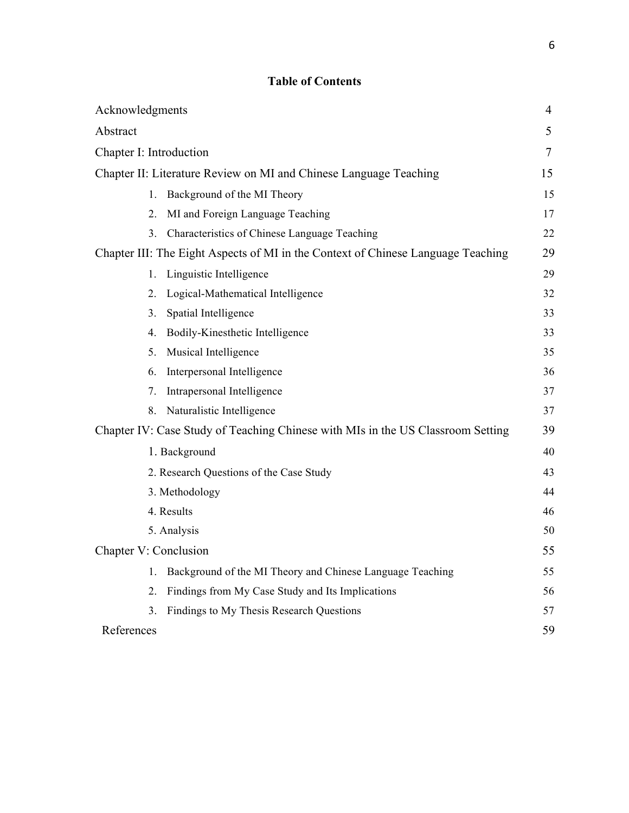# **Table of Contents**

| Acknowledgments                                                                  | $\overline{4}$ |
|----------------------------------------------------------------------------------|----------------|
| Abstract                                                                         | 5              |
| Chapter I: Introduction                                                          | $\overline{7}$ |
| Chapter II: Literature Review on MI and Chinese Language Teaching                | 15             |
| Background of the MI Theory<br>$1_{-}$                                           | 15             |
| MI and Foreign Language Teaching<br>$\overline{2}$ .                             | 17             |
| Characteristics of Chinese Language Teaching<br>3.                               | 22             |
| Chapter III: The Eight Aspects of MI in the Context of Chinese Language Teaching | 29             |
| Linguistic Intelligence<br>1.                                                    | 29             |
| Logical-Mathematical Intelligence<br>2.                                          | 32             |
| Spatial Intelligence<br>3.                                                       | 33             |
| Bodily-Kinesthetic Intelligence<br>4.                                            | 33             |
| Musical Intelligence<br>5.                                                       | 35             |
| Interpersonal Intelligence<br>6.                                                 | 36             |
| Intrapersonal Intelligence<br>7.                                                 | 37             |
| Naturalistic Intelligence<br>8.                                                  | 37             |
| Chapter IV: Case Study of Teaching Chinese with MIs in the US Classroom Setting  | 39             |
| 1. Background                                                                    | 40             |
| 2. Research Questions of the Case Study                                          | 43             |
| 3. Methodology                                                                   | 44             |
| 4. Results                                                                       | 46             |
| 5. Analysis                                                                      | 50             |
| Chapter V: Conclusion                                                            | 55             |
| Background of the MI Theory and Chinese Language Teaching<br>1.                  | 55             |
| Findings from My Case Study and Its Implications<br>$\mathfrak{2}_{\cdot}$       | 56             |
| 3.<br>Findings to My Thesis Research Questions                                   | 57             |
| References                                                                       | 59             |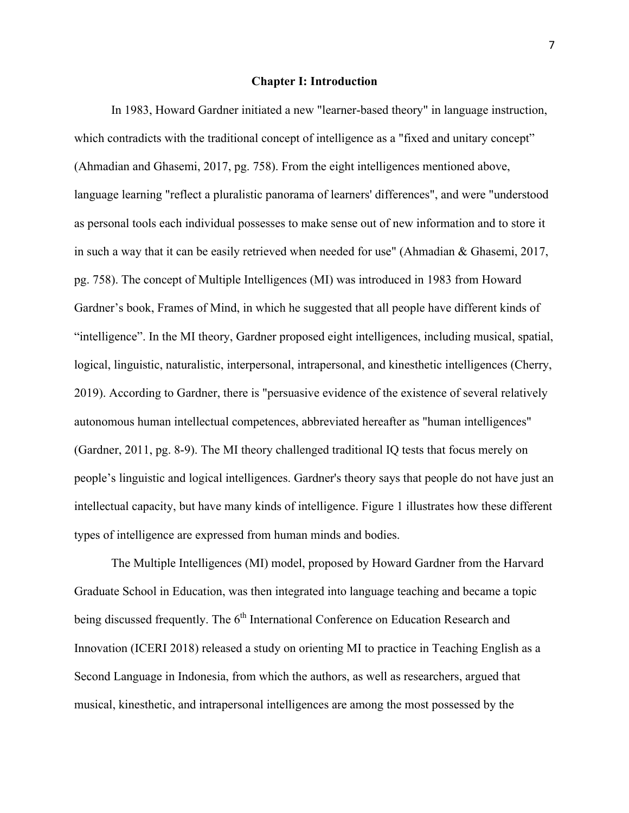#### **Chapter I: Introduction**

In 1983, Howard Gardner initiated a new "learner-based theory" in language instruction, which contradicts with the traditional concept of intelligence as a "fixed and unitary concept" (Ahmadian and Ghasemi, 2017, pg. 758). From the eight intelligences mentioned above, language learning "reflect a pluralistic panorama of learners' differences", and were "understood as personal tools each individual possesses to make sense out of new information and to store it in such a way that it can be easily retrieved when needed for use" (Ahmadian & Ghasemi, 2017, pg. 758). The concept of Multiple Intelligences (MI) was introduced in 1983 from Howard Gardner's book, Frames of Mind, in which he suggested that all people have different kinds of "intelligence". In the MI theory, Gardner proposed eight intelligences, including musical, spatial, logical, linguistic, naturalistic, interpersonal, intrapersonal, and kinesthetic intelligences (Cherry, 2019). According to Gardner, there is "persuasive evidence of the existence of several relatively autonomous human intellectual competences, abbreviated hereafter as "human intelligences" (Gardner, 2011, pg. 8-9). The MI theory challenged traditional IQ tests that focus merely on people's linguistic and logical intelligences. Gardner's theory says that people do not have just an intellectual capacity, but have many kinds of intelligence. Figure 1 illustrates how these different types of intelligence are expressed from human minds and bodies.

The Multiple Intelligences (MI) model, proposed by Howard Gardner from the Harvard Graduate School in Education, was then integrated into language teaching and became a topic being discussed frequently. The  $6<sup>th</sup>$  International Conference on Education Research and Innovation (ICERI 2018) released a study on orienting MI to practice in Teaching English as a Second Language in Indonesia, from which the authors, as well as researchers, argued that musical, kinesthetic, and intrapersonal intelligences are among the most possessed by the

7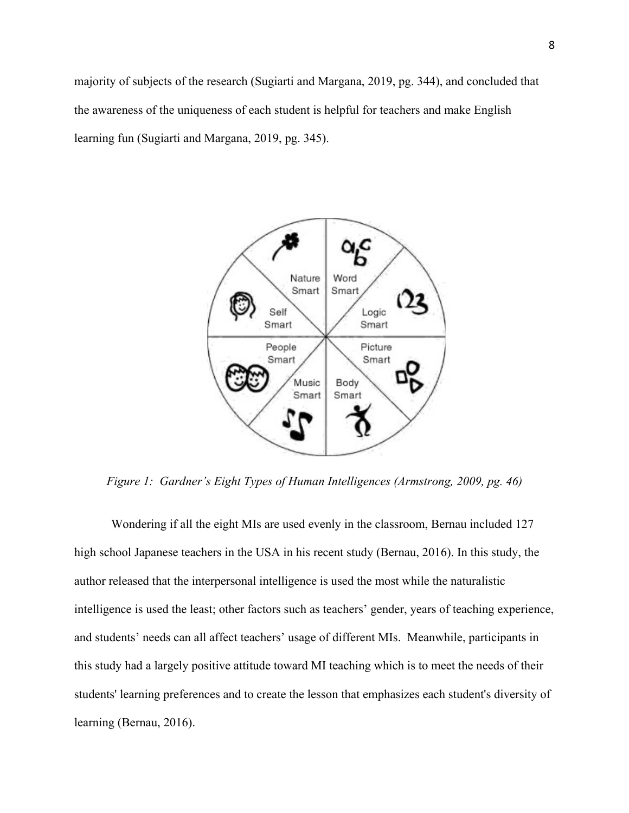majority of subjects of the research (Sugiarti and Margana, 2019, pg. 344), and concluded that the awareness of the uniqueness of each student is helpful for teachers and make English learning fun (Sugiarti and Margana, 2019, pg. 345).



*Figure 1: Gardner's Eight Types of Human Intelligences (Armstrong, 2009, pg. 46)*

Wondering if all the eight MIs are used evenly in the classroom, Bernau included 127 high school Japanese teachers in the USA in his recent study (Bernau, 2016). In this study, the author released that the interpersonal intelligence is used the most while the naturalistic intelligence is used the least; other factors such as teachers' gender, years of teaching experience, and students' needs can all affect teachers' usage of different MIs. Meanwhile, participants in this study had a largely positive attitude toward MI teaching which is to meet the needs of their students' learning preferences and to create the lesson that emphasizes each student's diversity of learning (Bernau, 2016).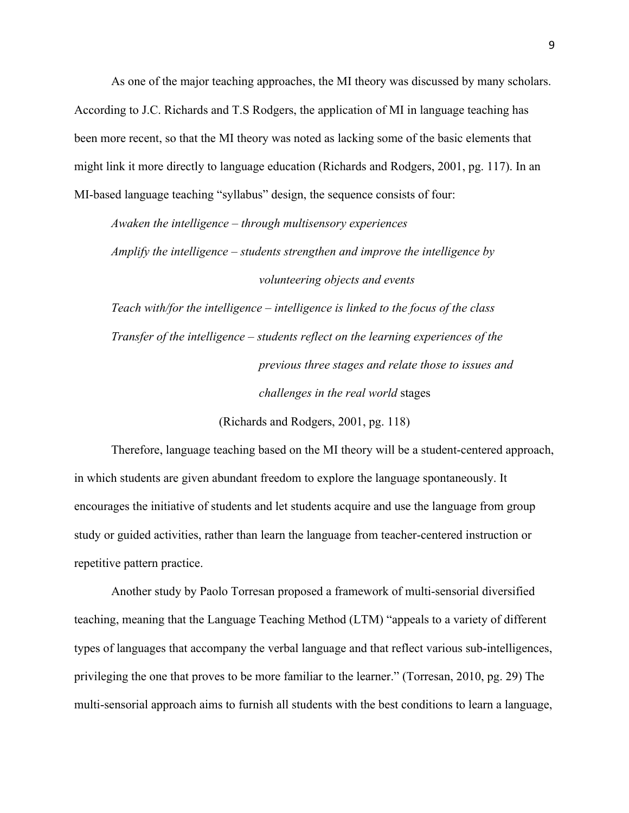As one of the major teaching approaches, the MI theory was discussed by many scholars. According to J.C. Richards and T.S Rodgers, the application of MI in language teaching has been more recent, so that the MI theory was noted as lacking some of the basic elements that might link it more directly to language education (Richards and Rodgers, 2001, pg. 117). In an MI-based language teaching "syllabus" design, the sequence consists of four:

*Awaken the intelligence – through multisensory experiences Amplify the intelligence – students strengthen and improve the intelligence by volunteering objects and events*

*Teach with/for the intelligence – intelligence is linked to the focus of the class Transfer of the intelligence – students reflect on the learning experiences of the previous three stages and relate those to issues and challenges in the real world* stages

(Richards and Rodgers, 2001, pg. 118)

Therefore, language teaching based on the MI theory will be a student-centered approach, in which students are given abundant freedom to explore the language spontaneously. It encourages the initiative of students and let students acquire and use the language from group study or guided activities, rather than learn the language from teacher-centered instruction or repetitive pattern practice.

Another study by Paolo Torresan proposed a framework of multi-sensorial diversified teaching, meaning that the Language Teaching Method (LTM) "appeals to a variety of different types of languages that accompany the verbal language and that reflect various sub-intelligences, privileging the one that proves to be more familiar to the learner." (Torresan, 2010, pg. 29) The multi-sensorial approach aims to furnish all students with the best conditions to learn a language,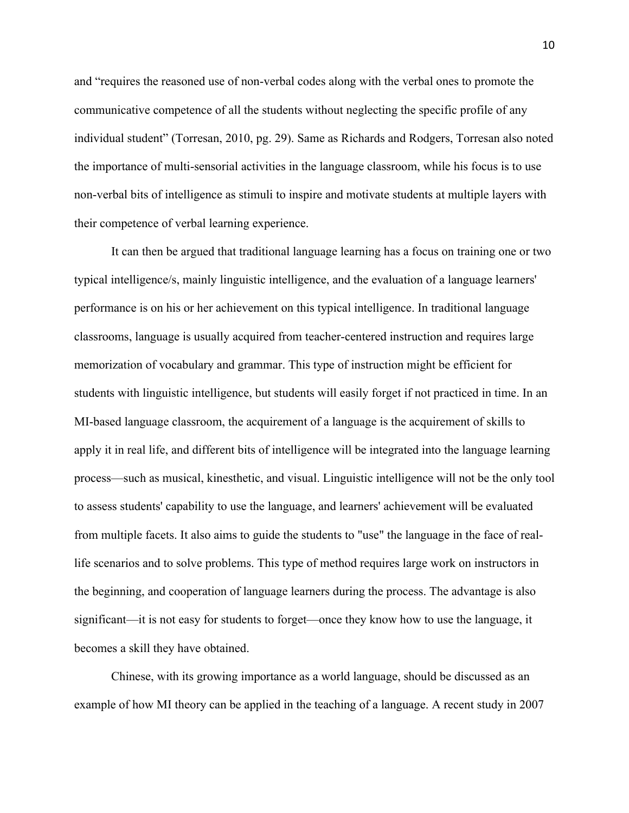and "requires the reasoned use of non-verbal codes along with the verbal ones to promote the communicative competence of all the students without neglecting the specific profile of any individual student" (Torresan, 2010, pg. 29). Same as Richards and Rodgers, Torresan also noted the importance of multi-sensorial activities in the language classroom, while his focus is to use non-verbal bits of intelligence as stimuli to inspire and motivate students at multiple layers with their competence of verbal learning experience.

It can then be argued that traditional language learning has a focus on training one or two typical intelligence/s, mainly linguistic intelligence, and the evaluation of a language learners' performance is on his or her achievement on this typical intelligence. In traditional language classrooms, language is usually acquired from teacher-centered instruction and requires large memorization of vocabulary and grammar. This type of instruction might be efficient for students with linguistic intelligence, but students will easily forget if not practiced in time. In an MI-based language classroom, the acquirement of a language is the acquirement of skills to apply it in real life, and different bits of intelligence will be integrated into the language learning process—such as musical, kinesthetic, and visual. Linguistic intelligence will not be the only tool to assess students' capability to use the language, and learners' achievement will be evaluated from multiple facets. It also aims to guide the students to "use" the language in the face of reallife scenarios and to solve problems. This type of method requires large work on instructors in the beginning, and cooperation of language learners during the process. The advantage is also significant—it is not easy for students to forget—once they know how to use the language, it becomes a skill they have obtained.

Chinese, with its growing importance as a world language, should be discussed as an example of how MI theory can be applied in the teaching of a language. A recent study in 2007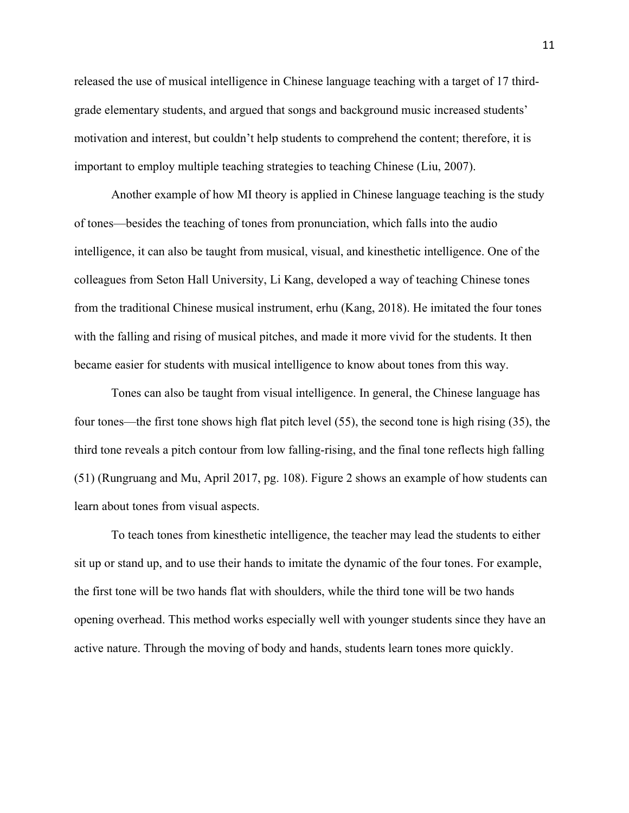released the use of musical intelligence in Chinese language teaching with a target of 17 thirdgrade elementary students, and argued that songs and background music increased students' motivation and interest, but couldn't help students to comprehend the content; therefore, it is important to employ multiple teaching strategies to teaching Chinese (Liu, 2007).

Another example of how MI theory is applied in Chinese language teaching is the study of tones—besides the teaching of tones from pronunciation, which falls into the audio intelligence, it can also be taught from musical, visual, and kinesthetic intelligence. One of the colleagues from Seton Hall University, Li Kang, developed a way of teaching Chinese tones from the traditional Chinese musical instrument, erhu (Kang, 2018). He imitated the four tones with the falling and rising of musical pitches, and made it more vivid for the students. It then became easier for students with musical intelligence to know about tones from this way.

Tones can also be taught from visual intelligence. In general, the Chinese language has four tones—the first tone shows high flat pitch level (55), the second tone is high rising (35), the third tone reveals a pitch contour from low falling-rising, and the final tone reflects high falling (51) (Rungruang and Mu, April 2017, pg. 108). Figure 2 shows an example of how students can learn about tones from visual aspects.

To teach tones from kinesthetic intelligence, the teacher may lead the students to either sit up or stand up, and to use their hands to imitate the dynamic of the four tones. For example, the first tone will be two hands flat with shoulders, while the third tone will be two hands opening overhead. This method works especially well with younger students since they have an active nature. Through the moving of body and hands, students learn tones more quickly.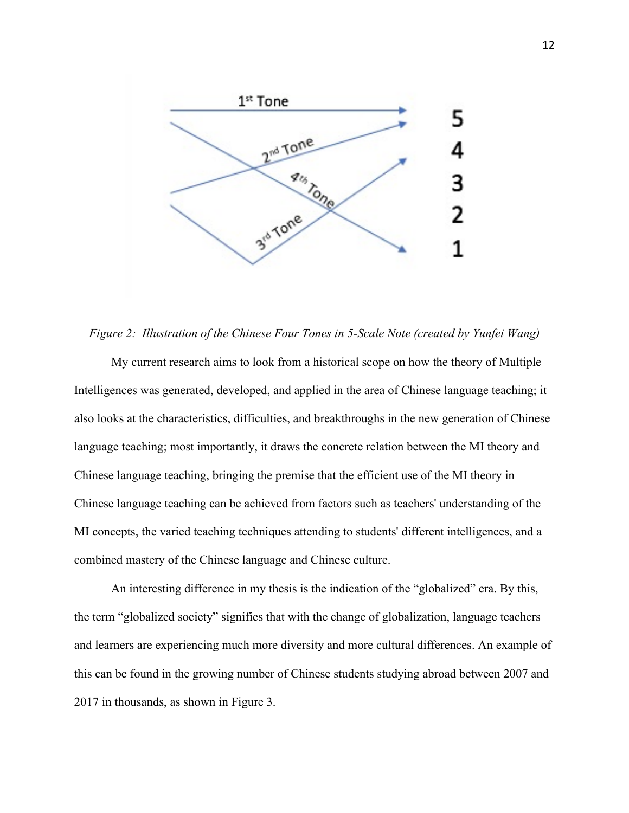

*Figure 2: Illustration of the Chinese Four Tones in 5-Scale Note (created by Yunfei Wang)*

My current research aims to look from a historical scope on how the theory of Multiple Intelligences was generated, developed, and applied in the area of Chinese language teaching; it also looks at the characteristics, difficulties, and breakthroughs in the new generation of Chinese language teaching; most importantly, it draws the concrete relation between the MI theory and Chinese language teaching, bringing the premise that the efficient use of the MI theory in Chinese language teaching can be achieved from factors such as teachers' understanding of the MI concepts, the varied teaching techniques attending to students' different intelligences, and a combined mastery of the Chinese language and Chinese culture.

An interesting difference in my thesis is the indication of the "globalized" era. By this, the term "globalized society" signifies that with the change of globalization, language teachers and learners are experiencing much more diversity and more cultural differences. An example of this can be found in the growing number of Chinese students studying abroad between 2007 and 2017 in thousands, as shown in Figure 3.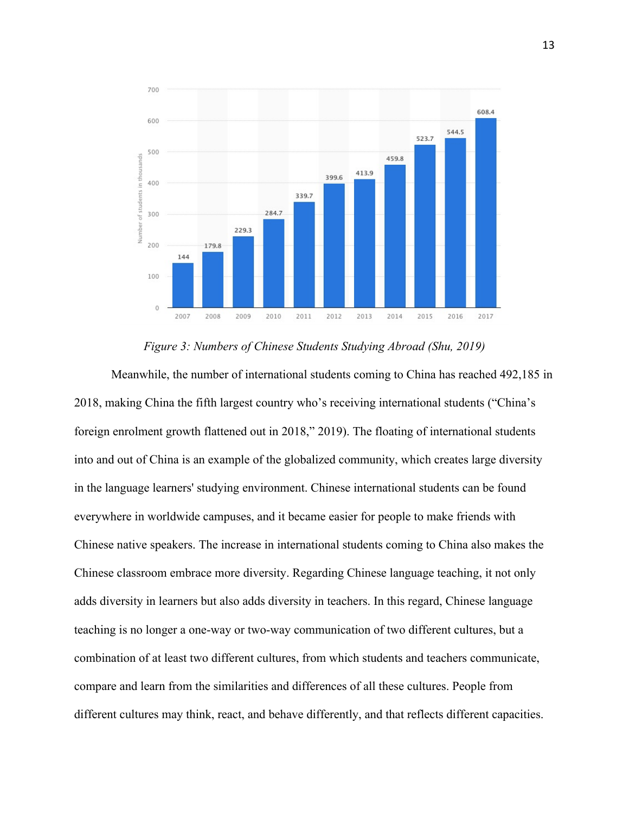

*Figure 3: Numbers of Chinese Students Studying Abroad (Shu, 2019)*

Meanwhile, the number of international students coming to China has reached 492,185 in 2018, making China the fifth largest country who's receiving international students ("China's foreign enrolment growth flattened out in 2018," 2019). The floating of international students into and out of China is an example of the globalized community, which creates large diversity in the language learners' studying environment. Chinese international students can be found everywhere in worldwide campuses, and it became easier for people to make friends with Chinese native speakers. The increase in international students coming to China also makes the Chinese classroom embrace more diversity. Regarding Chinese language teaching, it not only adds diversity in learners but also adds diversity in teachers. In this regard, Chinese language teaching is no longer a one-way or two-way communication of two different cultures, but a combination of at least two different cultures, from which students and teachers communicate, compare and learn from the similarities and differences of all these cultures. People from different cultures may think, react, and behave differently, and that reflects different capacities.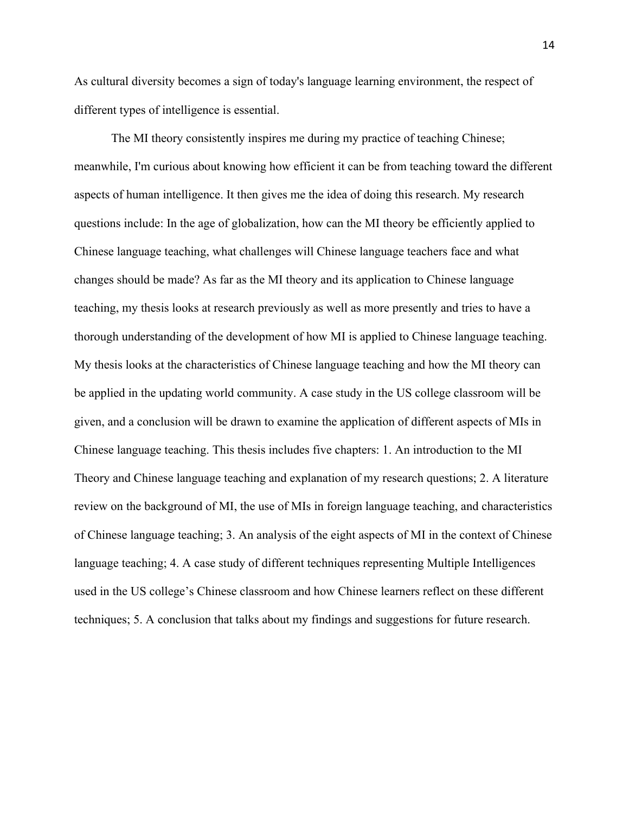As cultural diversity becomes a sign of today's language learning environment, the respect of different types of intelligence is essential.

The MI theory consistently inspires me during my practice of teaching Chinese; meanwhile, I'm curious about knowing how efficient it can be from teaching toward the different aspects of human intelligence. It then gives me the idea of doing this research. My research questions include: In the age of globalization, how can the MI theory be efficiently applied to Chinese language teaching, what challenges will Chinese language teachers face and what changes should be made? As far as the MI theory and its application to Chinese language teaching, my thesis looks at research previously as well as more presently and tries to have a thorough understanding of the development of how MI is applied to Chinese language teaching. My thesis looks at the characteristics of Chinese language teaching and how the MI theory can be applied in the updating world community. A case study in the US college classroom will be given, and a conclusion will be drawn to examine the application of different aspects of MIs in Chinese language teaching. This thesis includes five chapters: 1. An introduction to the MI Theory and Chinese language teaching and explanation of my research questions; 2. A literature review on the background of MI, the use of MIs in foreign language teaching, and characteristics of Chinese language teaching; 3. An analysis of the eight aspects of MI in the context of Chinese language teaching; 4. A case study of different techniques representing Multiple Intelligences used in the US college's Chinese classroom and how Chinese learners reflect on these different techniques; 5. A conclusion that talks about my findings and suggestions for future research.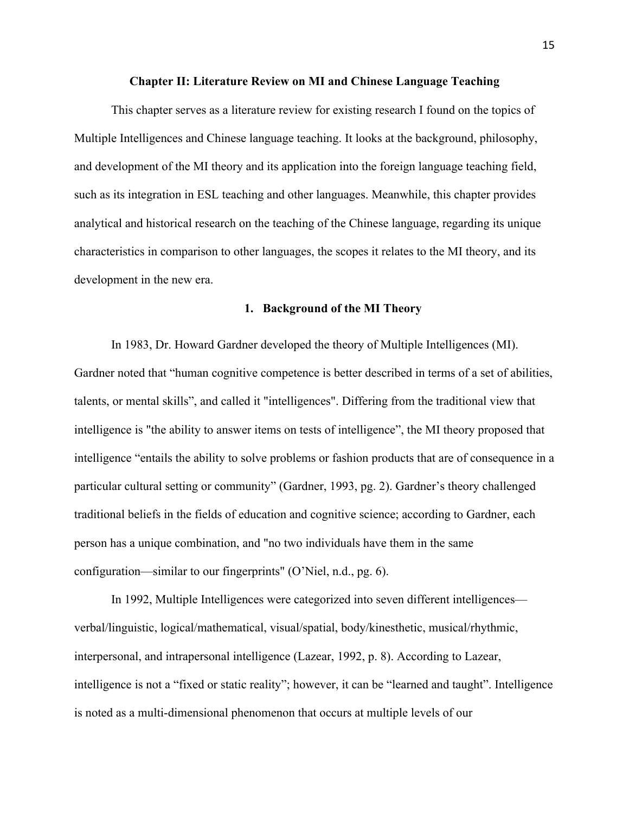#### **Chapter II: Literature Review on MI and Chinese Language Teaching**

This chapter serves as a literature review for existing research I found on the topics of Multiple Intelligences and Chinese language teaching. It looks at the background, philosophy, and development of the MI theory and its application into the foreign language teaching field, such as its integration in ESL teaching and other languages. Meanwhile, this chapter provides analytical and historical research on the teaching of the Chinese language, regarding its unique characteristics in comparison to other languages, the scopes it relates to the MI theory, and its development in the new era.

#### **1. Background of the MI Theory**

In 1983, Dr. Howard Gardner developed the theory of Multiple Intelligences (MI). Gardner noted that "human cognitive competence is better described in terms of a set of abilities, talents, or mental skills", and called it "intelligences". Differing from the traditional view that intelligence is "the ability to answer items on tests of intelligence", the MI theory proposed that intelligence "entails the ability to solve problems or fashion products that are of consequence in a particular cultural setting or community" (Gardner, 1993, pg. 2). Gardner's theory challenged traditional beliefs in the fields of education and cognitive science; according to Gardner, each person has a unique combination, and "no two individuals have them in the same configuration—similar to our fingerprints" (O'Niel, n.d., pg. 6).

In 1992, Multiple Intelligences were categorized into seven different intelligences verbal/linguistic, logical/mathematical, visual/spatial, body/kinesthetic, musical/rhythmic, interpersonal, and intrapersonal intelligence (Lazear, 1992, p. 8). According to Lazear, intelligence is not a "fixed or static reality"; however, it can be "learned and taught". Intelligence is noted as a multi-dimensional phenomenon that occurs at multiple levels of our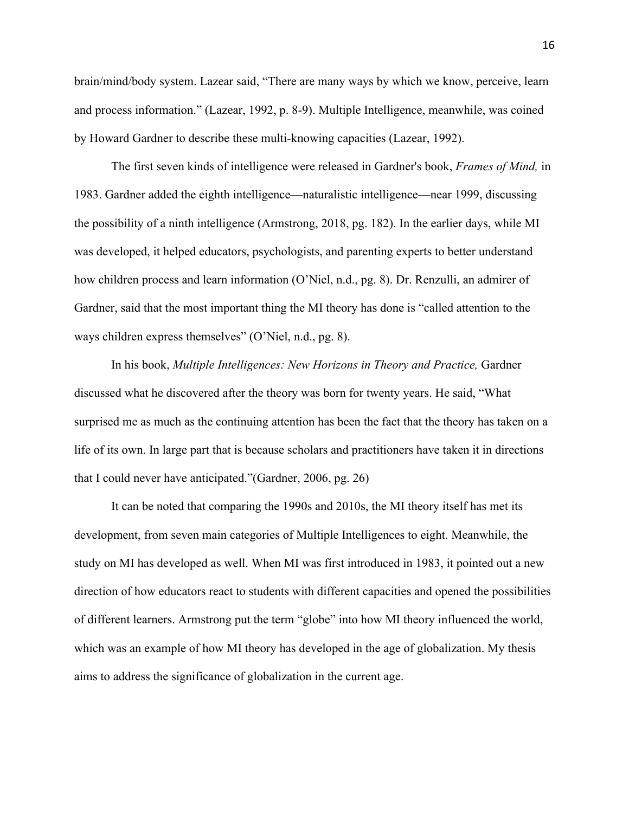brain/mind/body system. Lazear said, "There are many ways by which we know, perceive, learn and process information." (Lazear, 1992, p. 8-9). Multiple Intelligence, meanwhile, was coined by Howard Gardner to describe these multi-knowing capacities (Lazear, 1992).

The first seven kinds of intelligence were released in Gardner's book, *Frames of Mind,* in 1983. Gardner added the eighth intelligence—naturalistic intelligence—near 1999, discussing the possibility of a ninth intelligence (Armstrong, 2018, pg. 182). In the earlier days, while MI was developed, it helped educators, psychologists, and parenting experts to better understand how children process and learn information (O'Niel, n.d., pg. 8). Dr. Renzulli, an admirer of Gardner, said that the most important thing the MI theory has done is "called attention to the ways children express themselves" (O'Niel, n.d., pg. 8).

In his book, *Multiple Intelligences: New Horizons in Theory and Practice,* Gardner discussed what he discovered after the theory was born for twenty years. He said, "What surprised me as much as the continuing attention has been the fact that the theory has taken on a life of its own. In large part that is because scholars and practitioners have taken it in directions that I could never have anticipated."(Gardner, 2006, pg. 26)

It can be noted that comparing the 1990s and 2010s, the MI theory itself has met its development, from seven main categories of Multiple Intelligences to eight. Meanwhile, the study on MI has developed as well. When MI was first introduced in 1983, it pointed out a new direction of how educators react to students with different capacities and opened the possibilities of different learners. Armstrong put the term "globe" into how MI theory influenced the world, which was an example of how MI theory has developed in the age of globalization. My thesis aims to address the significance of globalization in the current age.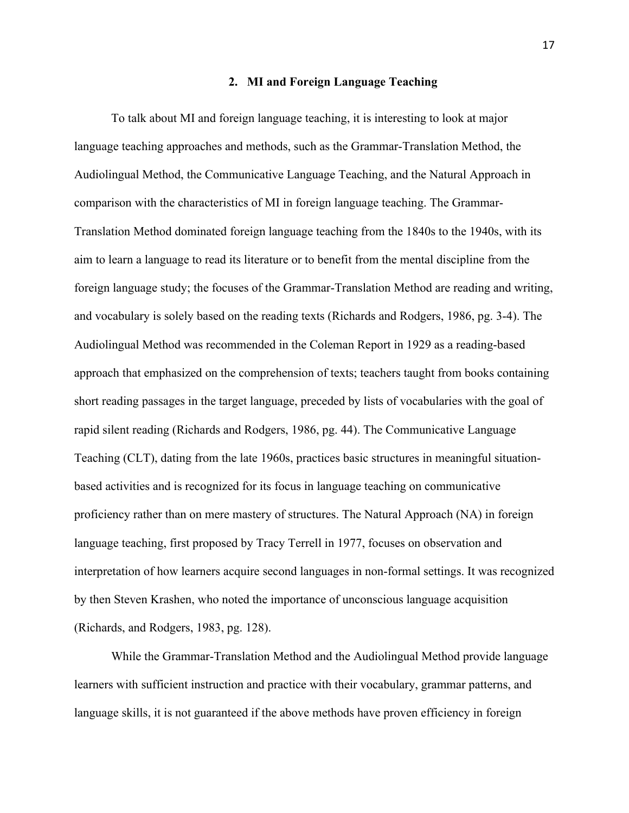#### **2. MI and Foreign Language Teaching**

To talk about MI and foreign language teaching, it is interesting to look at major language teaching approaches and methods, such as the Grammar-Translation Method, the Audiolingual Method, the Communicative Language Teaching, and the Natural Approach in comparison with the characteristics of MI in foreign language teaching. The Grammar-Translation Method dominated foreign language teaching from the 1840s to the 1940s, with its aim to learn a language to read its literature or to benefit from the mental discipline from the foreign language study; the focuses of the Grammar-Translation Method are reading and writing, and vocabulary is solely based on the reading texts (Richards and Rodgers, 1986, pg. 3-4). The Audiolingual Method was recommended in the Coleman Report in 1929 as a reading-based approach that emphasized on the comprehension of texts; teachers taught from books containing short reading passages in the target language, preceded by lists of vocabularies with the goal of rapid silent reading (Richards and Rodgers, 1986, pg. 44). The Communicative Language Teaching (CLT), dating from the late 1960s, practices basic structures in meaningful situationbased activities and is recognized for its focus in language teaching on communicative proficiency rather than on mere mastery of structures. The Natural Approach (NA) in foreign language teaching, first proposed by Tracy Terrell in 1977, focuses on observation and interpretation of how learners acquire second languages in non-formal settings. It was recognized by then Steven Krashen, who noted the importance of unconscious language acquisition (Richards, and Rodgers, 1983, pg. 128).

While the Grammar-Translation Method and the Audiolingual Method provide language learners with sufficient instruction and practice with their vocabulary, grammar patterns, and language skills, it is not guaranteed if the above methods have proven efficiency in foreign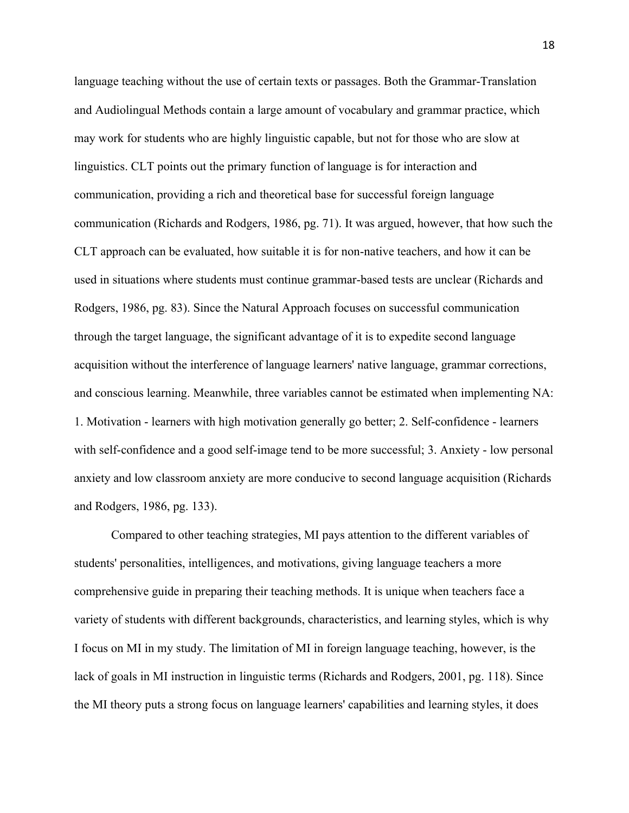language teaching without the use of certain texts or passages. Both the Grammar-Translation and Audiolingual Methods contain a large amount of vocabulary and grammar practice, which may work for students who are highly linguistic capable, but not for those who are slow at linguistics. CLT points out the primary function of language is for interaction and communication, providing a rich and theoretical base for successful foreign language communication (Richards and Rodgers, 1986, pg. 71). It was argued, however, that how such the CLT approach can be evaluated, how suitable it is for non-native teachers, and how it can be used in situations where students must continue grammar-based tests are unclear (Richards and Rodgers, 1986, pg. 83). Since the Natural Approach focuses on successful communication through the target language, the significant advantage of it is to expedite second language acquisition without the interference of language learners' native language, grammar corrections, and conscious learning. Meanwhile, three variables cannot be estimated when implementing NA: 1. Motivation - learners with high motivation generally go better; 2. Self-confidence - learners with self-confidence and a good self-image tend to be more successful; 3. Anxiety - low personal anxiety and low classroom anxiety are more conducive to second language acquisition (Richards and Rodgers, 1986, pg. 133).

Compared to other teaching strategies, MI pays attention to the different variables of students' personalities, intelligences, and motivations, giving language teachers a more comprehensive guide in preparing their teaching methods. It is unique when teachers face a variety of students with different backgrounds, characteristics, and learning styles, which is why I focus on MI in my study. The limitation of MI in foreign language teaching, however, is the lack of goals in MI instruction in linguistic terms (Richards and Rodgers, 2001, pg. 118). Since the MI theory puts a strong focus on language learners' capabilities and learning styles, it does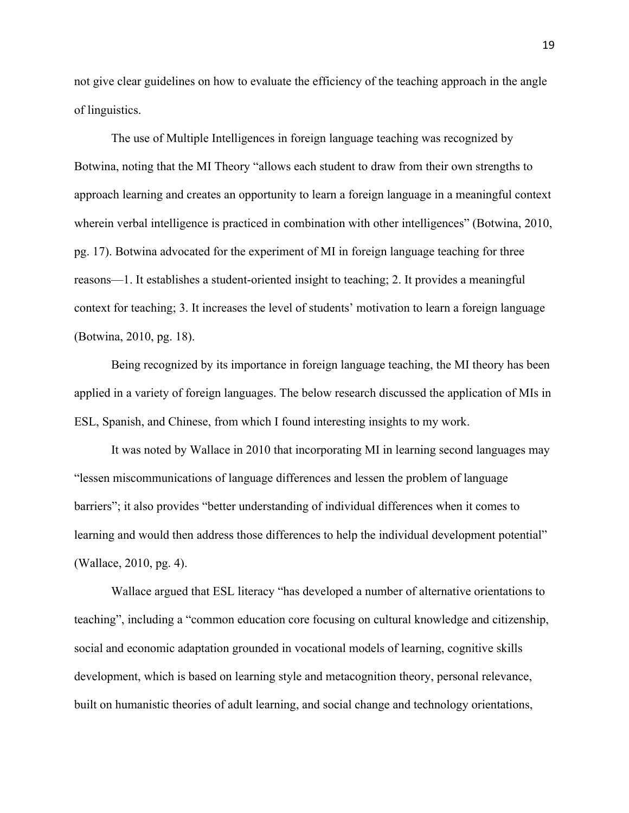not give clear guidelines on how to evaluate the efficiency of the teaching approach in the angle of linguistics.

The use of Multiple Intelligences in foreign language teaching was recognized by Botwina, noting that the MI Theory "allows each student to draw from their own strengths to approach learning and creates an opportunity to learn a foreign language in a meaningful context wherein verbal intelligence is practiced in combination with other intelligences" (Botwina, 2010, pg. 17). Botwina advocated for the experiment of MI in foreign language teaching for three reasons—1. It establishes a student-oriented insight to teaching; 2. It provides a meaningful context for teaching; 3. It increases the level of students' motivation to learn a foreign language (Botwina, 2010, pg. 18).

Being recognized by its importance in foreign language teaching, the MI theory has been applied in a variety of foreign languages. The below research discussed the application of MIs in ESL, Spanish, and Chinese, from which I found interesting insights to my work.

It was noted by Wallace in 2010 that incorporating MI in learning second languages may "lessen miscommunications of language differences and lessen the problem of language barriers"; it also provides "better understanding of individual differences when it comes to learning and would then address those differences to help the individual development potential" (Wallace, 2010, pg. 4).

Wallace argued that ESL literacy "has developed a number of alternative orientations to teaching", including a "common education core focusing on cultural knowledge and citizenship, social and economic adaptation grounded in vocational models of learning, cognitive skills development, which is based on learning style and metacognition theory, personal relevance, built on humanistic theories of adult learning, and social change and technology orientations,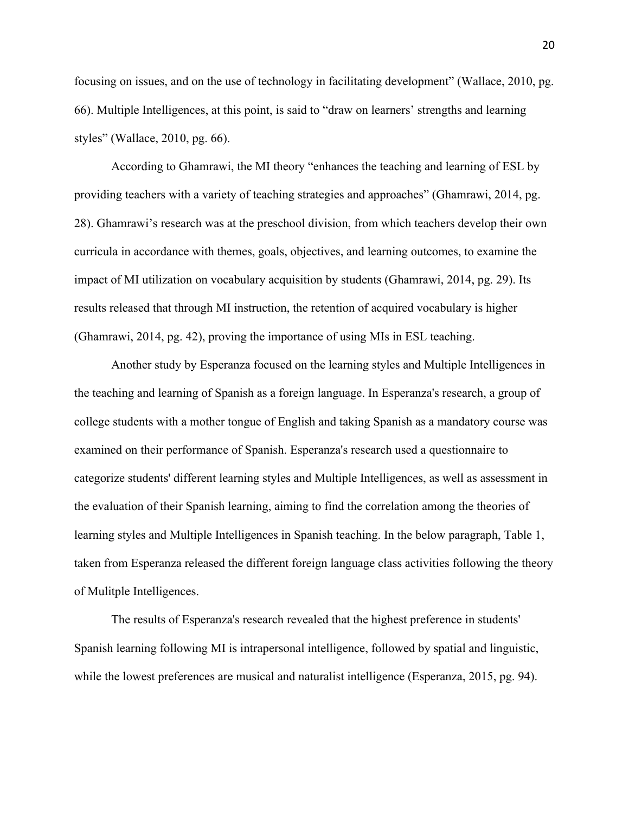focusing on issues, and on the use of technology in facilitating development" (Wallace, 2010, pg. 66). Multiple Intelligences, at this point, is said to "draw on learners' strengths and learning styles" (Wallace, 2010, pg. 66).

According to Ghamrawi, the MI theory "enhances the teaching and learning of ESL by providing teachers with a variety of teaching strategies and approaches" (Ghamrawi, 2014, pg. 28). Ghamrawi's research was at the preschool division, from which teachers develop their own curricula in accordance with themes, goals, objectives, and learning outcomes, to examine the impact of MI utilization on vocabulary acquisition by students (Ghamrawi, 2014, pg. 29). Its results released that through MI instruction, the retention of acquired vocabulary is higher (Ghamrawi, 2014, pg. 42), proving the importance of using MIs in ESL teaching.

Another study by Esperanza focused on the learning styles and Multiple Intelligences in the teaching and learning of Spanish as a foreign language. In Esperanza's research, a group of college students with a mother tongue of English and taking Spanish as a mandatory course was examined on their performance of Spanish. Esperanza's research used a questionnaire to categorize students' different learning styles and Multiple Intelligences, as well as assessment in the evaluation of their Spanish learning, aiming to find the correlation among the theories of learning styles and Multiple Intelligences in Spanish teaching. In the below paragraph, Table 1, taken from Esperanza released the different foreign language class activities following the theory of Mulitple Intelligences.

The results of Esperanza's research revealed that the highest preference in students' Spanish learning following MI is intrapersonal intelligence, followed by spatial and linguistic, while the lowest preferences are musical and naturalist intelligence (Esperanza, 2015, pg. 94).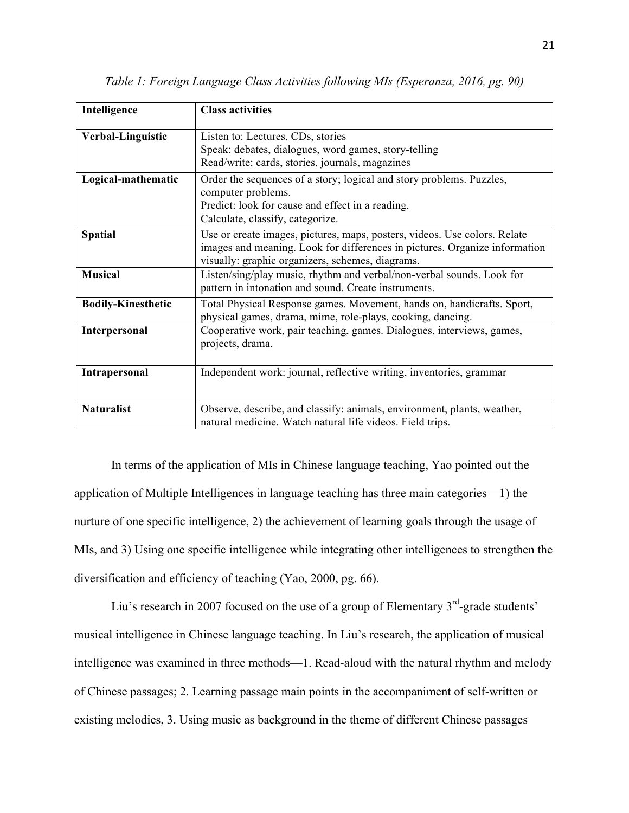| Intelligence              | <b>Class activities</b>                                                                                                                                 |
|---------------------------|---------------------------------------------------------------------------------------------------------------------------------------------------------|
|                           |                                                                                                                                                         |
| Verbal-Linguistic         | Listen to: Lectures, CDs, stories                                                                                                                       |
|                           | Speak: debates, dialogues, word games, story-telling                                                                                                    |
|                           | Read/write: cards, stories, journals, magazines                                                                                                         |
| Logical-mathematic        | Order the sequences of a story; logical and story problems. Puzzles,<br>computer problems.                                                              |
|                           | Predict: look for cause and effect in a reading.                                                                                                        |
|                           | Calculate, classify, categorize.                                                                                                                        |
|                           |                                                                                                                                                         |
| <b>Spatial</b>            | Use or create images, pictures, maps, posters, videos. Use colors. Relate<br>images and meaning. Look for differences in pictures. Organize information |
|                           | visually: graphic organizers, schemes, diagrams.                                                                                                        |
| <b>Musical</b>            | Listen/sing/play music, rhythm and verbal/non-verbal sounds. Look for                                                                                   |
|                           | pattern in intonation and sound. Create instruments.                                                                                                    |
| <b>Bodily-Kinesthetic</b> | Total Physical Response games. Movement, hands on, handicrafts. Sport,<br>physical games, drama, mime, role-plays, cooking, dancing.                    |
| Interpersonal             | Cooperative work, pair teaching, games. Dialogues, interviews, games,                                                                                   |
|                           | projects, drama.                                                                                                                                        |
|                           |                                                                                                                                                         |
| Intrapersonal             | Independent work: journal, reflective writing, inventories, grammar                                                                                     |
|                           |                                                                                                                                                         |
| <b>Naturalist</b>         | Observe, describe, and classify: animals, environment, plants, weather,                                                                                 |
|                           | natural medicine. Watch natural life videos. Field trips.                                                                                               |

*Table 1: Foreign Language Class Activities following MIs (Esperanza, 2016, pg. 90)*

In terms of the application of MIs in Chinese language teaching, Yao pointed out the application of Multiple Intelligences in language teaching has three main categories—1) the nurture of one specific intelligence, 2) the achievement of learning goals through the usage of MIs, and 3) Using one specific intelligence while integrating other intelligences to strengthen the diversification and efficiency of teaching (Yao, 2000, pg. 66).

Liu's research in 2007 focused on the use of a group of Elementary  $3<sup>rd</sup>$ -grade students' musical intelligence in Chinese language teaching. In Liu's research, the application of musical intelligence was examined in three methods—1. Read-aloud with the natural rhythm and melody of Chinese passages; 2. Learning passage main points in the accompaniment of self-written or existing melodies, 3. Using music as background in the theme of different Chinese passages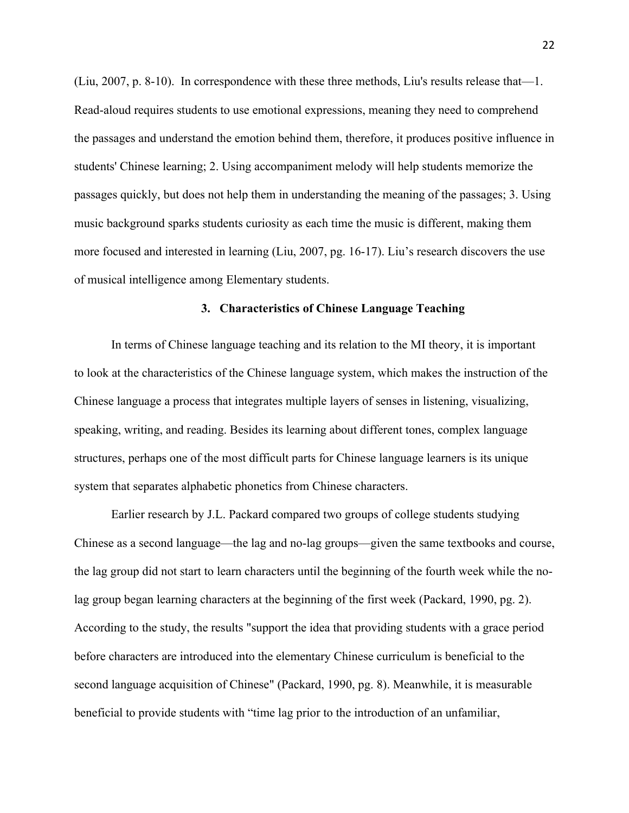(Liu, 2007, p. 8-10). In correspondence with these three methods, Liu's results release that—1. Read-aloud requires students to use emotional expressions, meaning they need to comprehend the passages and understand the emotion behind them, therefore, it produces positive influence in students' Chinese learning; 2. Using accompaniment melody will help students memorize the passages quickly, but does not help them in understanding the meaning of the passages; 3. Using music background sparks students curiosity as each time the music is different, making them more focused and interested in learning (Liu, 2007, pg. 16-17). Liu's research discovers the use of musical intelligence among Elementary students.

#### **3. Characteristics of Chinese Language Teaching**

In terms of Chinese language teaching and its relation to the MI theory, it is important to look at the characteristics of the Chinese language system, which makes the instruction of the Chinese language a process that integrates multiple layers of senses in listening, visualizing, speaking, writing, and reading. Besides its learning about different tones, complex language structures, perhaps one of the most difficult parts for Chinese language learners is its unique system that separates alphabetic phonetics from Chinese characters.

Earlier research by J.L. Packard compared two groups of college students studying Chinese as a second language—the lag and no-lag groups—given the same textbooks and course, the lag group did not start to learn characters until the beginning of the fourth week while the nolag group began learning characters at the beginning of the first week (Packard, 1990, pg. 2). According to the study, the results "support the idea that providing students with a grace period before characters are introduced into the elementary Chinese curriculum is beneficial to the second language acquisition of Chinese" (Packard, 1990, pg. 8). Meanwhile, it is measurable beneficial to provide students with "time lag prior to the introduction of an unfamiliar,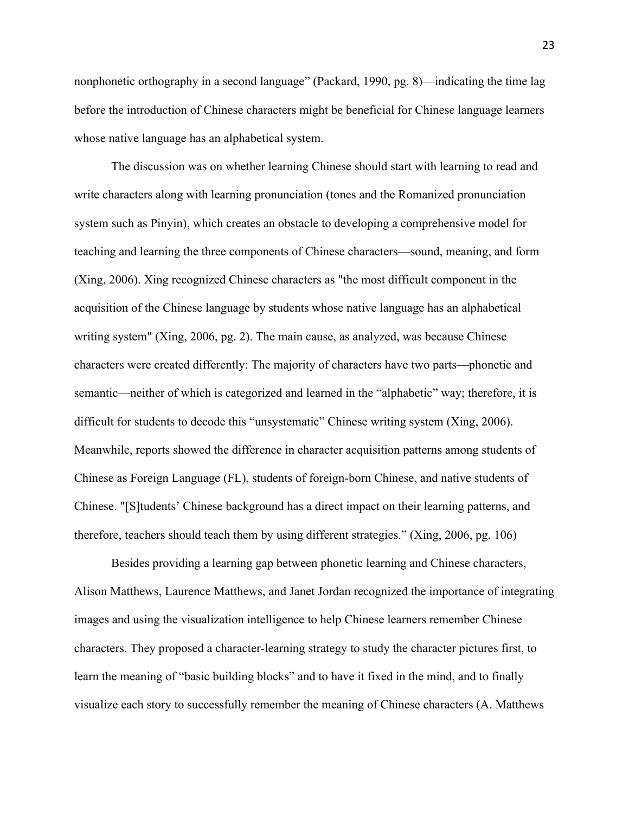nonphonetic orthography in a second language" (Packard, 1990, pg. 8)—indicating the time lag before the introduction of Chinese characters might be beneficial for Chinese language learners whose native language has an alphabetical system.

The discussion was on whether learning Chinese should start with learning to read and write characters along with learning pronunciation (tones and the Romanized pronunciation system such as Pinyin), which creates an obstacle to developing a comprehensive model for teaching and learning the three components of Chinese characters—sound, meaning, and form (Xing, 2006). Xing recognized Chinese characters as "the most difficult component in the acquisition of the Chinese language by students whose native language has an alphabetical writing system" (Xing, 2006, pg. 2). The main cause, as analyzed, was because Chinese characters were created differently: The majority of characters have two parts—phonetic and semantic—neither of which is categorized and learned in the "alphabetic" way; therefore, it is difficult for students to decode this "unsystematic" Chinese writing system (Xing, 2006). Meanwhile, reports showed the difference in character acquisition patterns among students of Chinese as Foreign Language (FL), students of foreign-born Chinese, and native students of Chinese. "[S]tudents' Chinese background has a direct impact on their learning patterns, and therefore, teachers should teach them by using different strategies." (Xing, 2006, pg. 106)

Besides providing a learning gap between phonetic learning and Chinese characters, Alison Matthews, Laurence Matthews, and Janet Jordan recognized the importance of integrating images and using the visualization intelligence to help Chinese learners remember Chinese characters. They proposed a character-learning strategy to study the character pictures first, to learn the meaning of "basic building blocks" and to have it fixed in the mind, and to finally visualize each story to successfully remember the meaning of Chinese characters (A. Matthews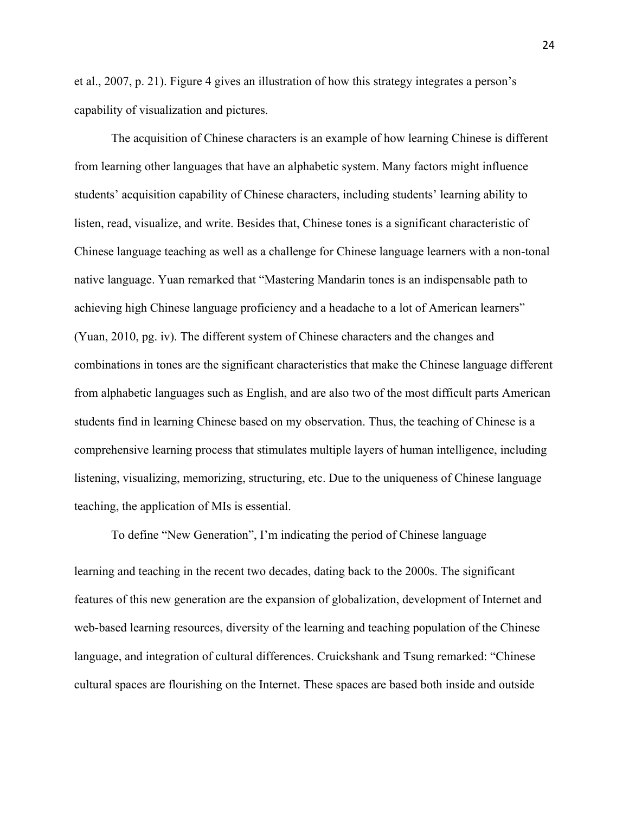et al., 2007, p. 21). Figure 4 gives an illustration of how this strategy integrates a person's capability of visualization and pictures.

The acquisition of Chinese characters is an example of how learning Chinese is different from learning other languages that have an alphabetic system. Many factors might influence students' acquisition capability of Chinese characters, including students' learning ability to listen, read, visualize, and write. Besides that, Chinese tones is a significant characteristic of Chinese language teaching as well as a challenge for Chinese language learners with a non-tonal native language. Yuan remarked that "Mastering Mandarin tones is an indispensable path to achieving high Chinese language proficiency and a headache to a lot of American learners" (Yuan, 2010, pg. iv). The different system of Chinese characters and the changes and combinations in tones are the significant characteristics that make the Chinese language different from alphabetic languages such as English, and are also two of the most difficult parts American students find in learning Chinese based on my observation. Thus, the teaching of Chinese is a comprehensive learning process that stimulates multiple layers of human intelligence, including listening, visualizing, memorizing, structuring, etc. Due to the uniqueness of Chinese language teaching, the application of MIs is essential.

To define "New Generation", I'm indicating the period of Chinese language learning and teaching in the recent two decades, dating back to the 2000s. The significant features of this new generation are the expansion of globalization, development of Internet and web-based learning resources, diversity of the learning and teaching population of the Chinese language, and integration of cultural differences. Cruickshank and Tsung remarked: "Chinese cultural spaces are flourishing on the Internet. These spaces are based both inside and outside

24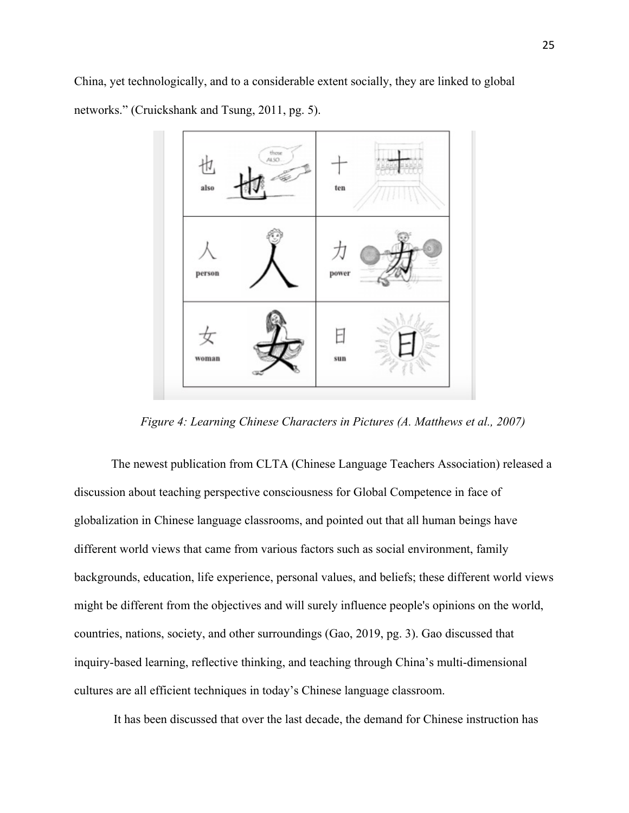China, yet technologically, and to a considerable extent socially, they are linked to global networks." (Cruickshank and Tsung, 2011, pg. 5).



*Figure 4: Learning Chinese Characters in Pictures (A. Matthews et al., 2007)*

The newest publication from CLTA (Chinese Language Teachers Association) released a discussion about teaching perspective consciousness for Global Competence in face of globalization in Chinese language classrooms, and pointed out that all human beings have different world views that came from various factors such as social environment, family backgrounds, education, life experience, personal values, and beliefs; these different world views might be different from the objectives and will surely influence people's opinions on the world, countries, nations, society, and other surroundings (Gao, 2019, pg. 3). Gao discussed that inquiry-based learning, reflective thinking, and teaching through China's multi-dimensional cultures are all efficient techniques in today's Chinese language classroom.

It has been discussed that over the last decade, the demand for Chinese instruction has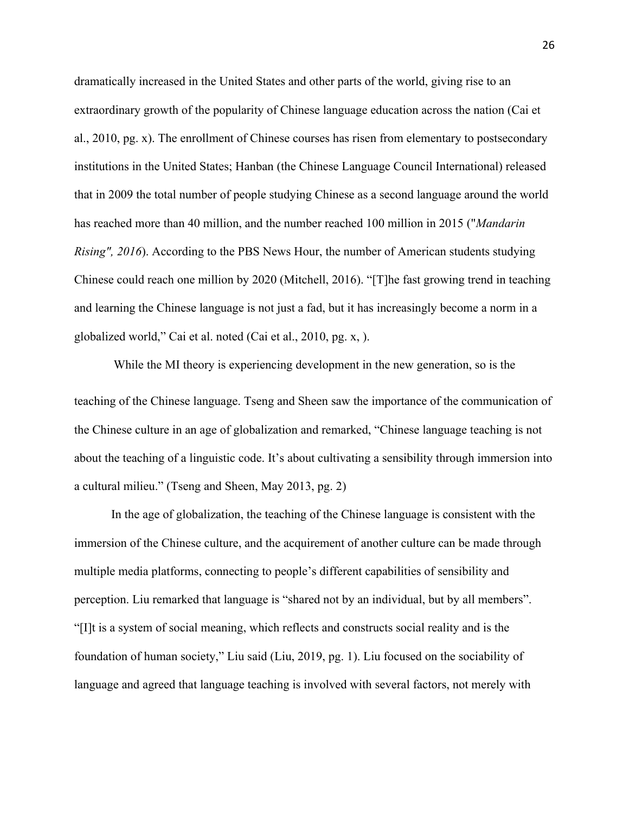dramatically increased in the United States and other parts of the world, giving rise to an extraordinary growth of the popularity of Chinese language education across the nation (Cai et al., 2010, pg. x). The enrollment of Chinese courses has risen from elementary to postsecondary institutions in the United States; Hanban (the Chinese Language Council International) released that in 2009 the total number of people studying Chinese as a second language around the world has reached more than 40 million, and the number reached 100 million in 2015 ("*Mandarin Rising", 2016*). According to the PBS News Hour, the number of American students studying Chinese could reach one million by 2020 (Mitchell, 2016). "[T]he fast growing trend in teaching and learning the Chinese language is not just a fad, but it has increasingly become a norm in a globalized world," Cai et al. noted (Cai et al., 2010, pg. x, ).

While the MI theory is experiencing development in the new generation, so is the teaching of the Chinese language. Tseng and Sheen saw the importance of the communication of the Chinese culture in an age of globalization and remarked, "Chinese language teaching is not about the teaching of a linguistic code. It's about cultivating a sensibility through immersion into a cultural milieu." (Tseng and Sheen, May 2013, pg. 2)

In the age of globalization, the teaching of the Chinese language is consistent with the immersion of the Chinese culture, and the acquirement of another culture can be made through multiple media platforms, connecting to people's different capabilities of sensibility and perception. Liu remarked that language is "shared not by an individual, but by all members". "[I]t is a system of social meaning, which reflects and constructs social reality and is the foundation of human society," Liu said (Liu, 2019, pg. 1). Liu focused on the sociability of language and agreed that language teaching is involved with several factors, not merely with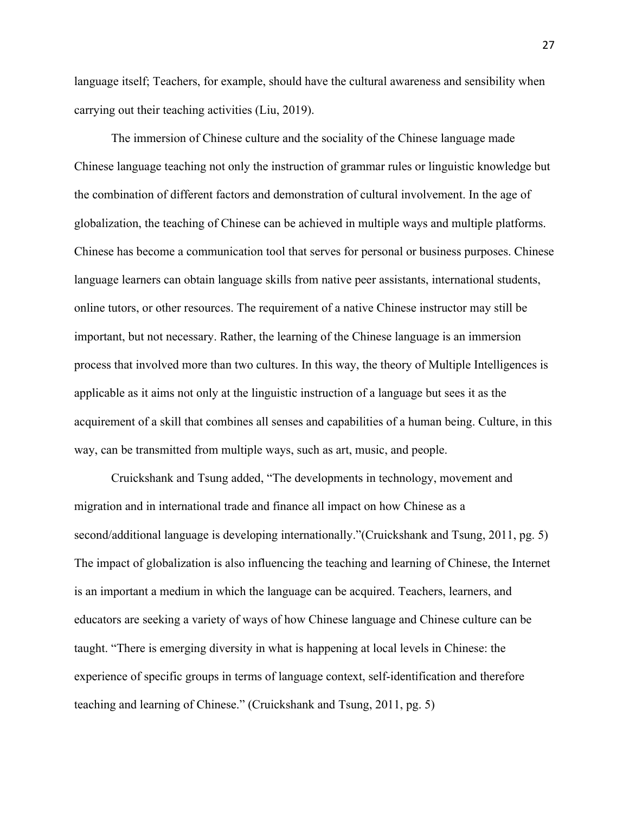language itself; Teachers, for example, should have the cultural awareness and sensibility when carrying out their teaching activities (Liu, 2019).

The immersion of Chinese culture and the sociality of the Chinese language made Chinese language teaching not only the instruction of grammar rules or linguistic knowledge but the combination of different factors and demonstration of cultural involvement. In the age of globalization, the teaching of Chinese can be achieved in multiple ways and multiple platforms. Chinese has become a communication tool that serves for personal or business purposes. Chinese language learners can obtain language skills from native peer assistants, international students, online tutors, or other resources. The requirement of a native Chinese instructor may still be important, but not necessary. Rather, the learning of the Chinese language is an immersion process that involved more than two cultures. In this way, the theory of Multiple Intelligences is applicable as it aims not only at the linguistic instruction of a language but sees it as the acquirement of a skill that combines all senses and capabilities of a human being. Culture, in this way, can be transmitted from multiple ways, such as art, music, and people.

Cruickshank and Tsung added, "The developments in technology, movement and migration and in international trade and finance all impact on how Chinese as a second/additional language is developing internationally."(Cruickshank and Tsung, 2011, pg. 5) The impact of globalization is also influencing the teaching and learning of Chinese, the Internet is an important a medium in which the language can be acquired. Teachers, learners, and educators are seeking a variety of ways of how Chinese language and Chinese culture can be taught. "There is emerging diversity in what is happening at local levels in Chinese: the experience of specific groups in terms of language context, self-identification and therefore teaching and learning of Chinese." (Cruickshank and Tsung, 2011, pg. 5)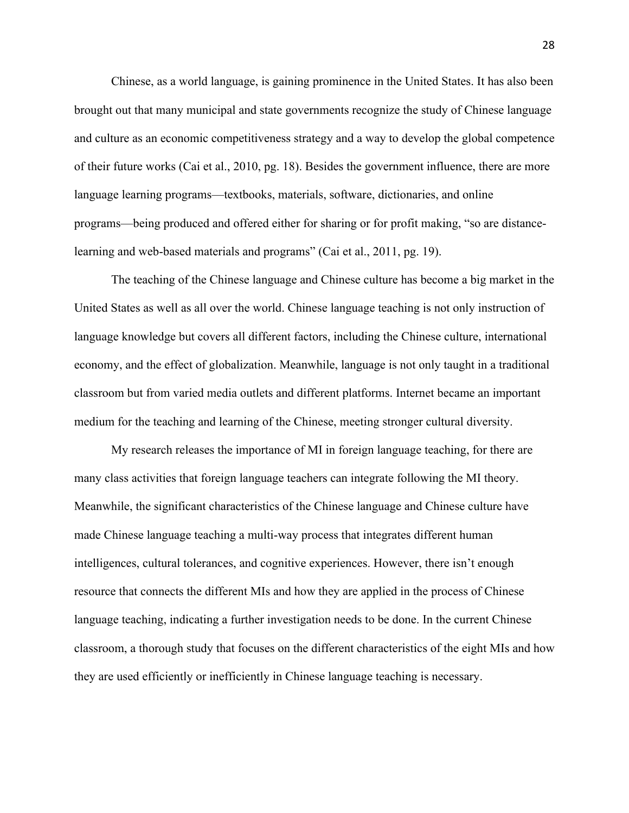Chinese, as a world language, is gaining prominence in the United States. It has also been brought out that many municipal and state governments recognize the study of Chinese language and culture as an economic competitiveness strategy and a way to develop the global competence of their future works (Cai et al., 2010, pg. 18). Besides the government influence, there are more language learning programs—textbooks, materials, software, dictionaries, and online programs—being produced and offered either for sharing or for profit making, "so are distancelearning and web-based materials and programs" (Cai et al., 2011, pg. 19).

The teaching of the Chinese language and Chinese culture has become a big market in the United States as well as all over the world. Chinese language teaching is not only instruction of language knowledge but covers all different factors, including the Chinese culture, international economy, and the effect of globalization. Meanwhile, language is not only taught in a traditional classroom but from varied media outlets and different platforms. Internet became an important medium for the teaching and learning of the Chinese, meeting stronger cultural diversity.

My research releases the importance of MI in foreign language teaching, for there are many class activities that foreign language teachers can integrate following the MI theory. Meanwhile, the significant characteristics of the Chinese language and Chinese culture have made Chinese language teaching a multi-way process that integrates different human intelligences, cultural tolerances, and cognitive experiences. However, there isn't enough resource that connects the different MIs and how they are applied in the process of Chinese language teaching, indicating a further investigation needs to be done. In the current Chinese classroom, a thorough study that focuses on the different characteristics of the eight MIs and how they are used efficiently or inefficiently in Chinese language teaching is necessary.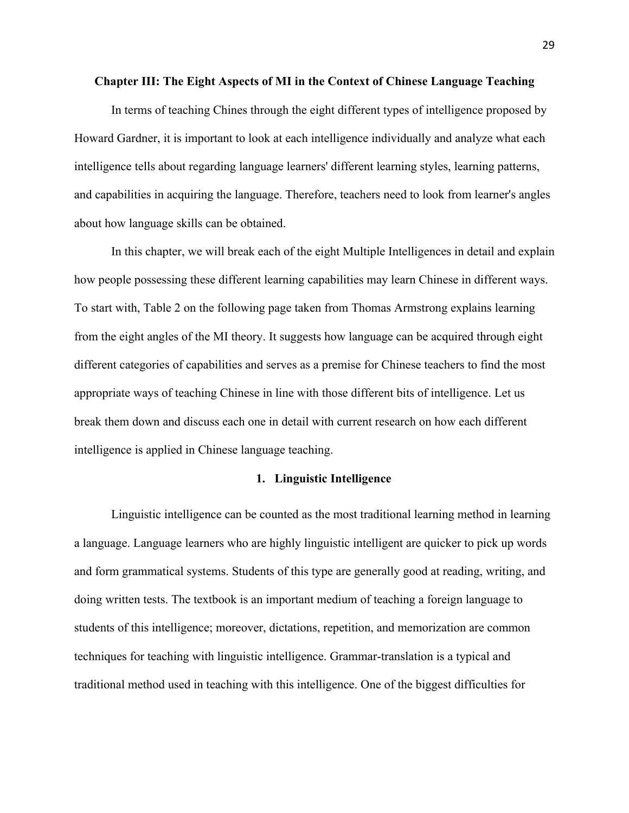#### **Chapter III: The Eight Aspects of MI in the Context of Chinese Language Teaching**

In terms of teaching Chines through the eight different types of intelligence proposed by Howard Gardner, it is important to look at each intelligence individually and analyze what each intelligence tells about regarding language learners' different learning styles, learning patterns, and capabilities in acquiring the language. Therefore, teachers need to look from learner's angles about how language skills can be obtained.

In this chapter, we will break each of the eight Multiple Intelligences in detail and explain how people possessing these different learning capabilities may learn Chinese in different ways. To start with, Table 2 on the following page taken from Thomas Armstrong explains learning from the eight angles of the MI theory. It suggests how language can be acquired through eight different categories of capabilities and serves as a premise for Chinese teachers to find the most appropriate ways of teaching Chinese in line with those different bits of intelligence. Let us break them down and discuss each one in detail with current research on how each different intelligence is applied in Chinese language teaching.

#### **1. Linguistic Intelligence**

Linguistic intelligence can be counted as the most traditional learning method in learning a language. Language learners who are highly linguistic intelligent are quicker to pick up words and form grammatical systems. Students of this type are generally good at reading, writing, and doing written tests. The textbook is an important medium of teaching a foreign language to students of this intelligence; moreover, dictations, repetition, and memorization are common techniques for teaching with linguistic intelligence. Grammar-translation is a typical and traditional method used in teaching with this intelligence. One of the biggest difficulties for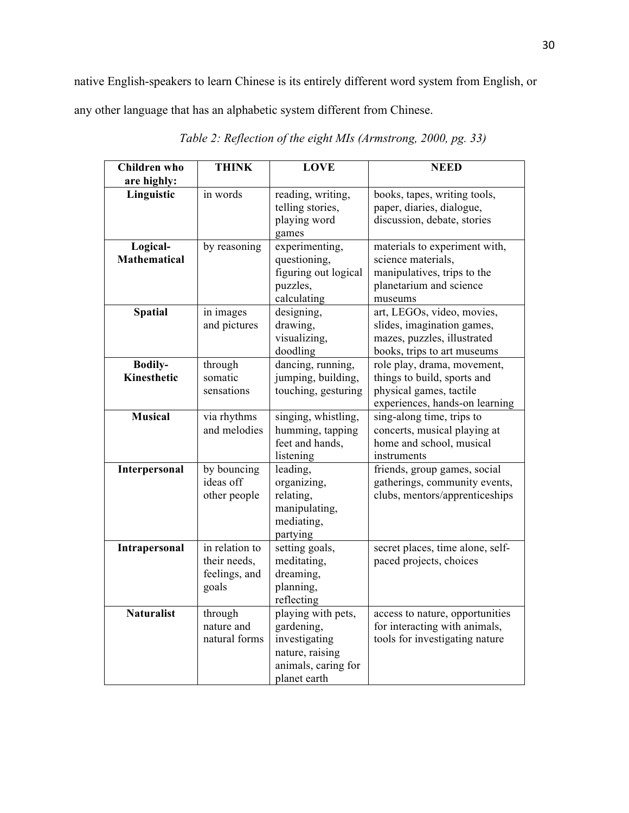native English-speakers to learn Chinese is its entirely different word system from English, or

any other language that has an alphabetic system different from Chinese.

| <b>Children</b> who             | <b>THINK</b>                                             | <b>LOVE</b>                                                                                                 | <b>NEED</b>                                                                                                              |
|---------------------------------|----------------------------------------------------------|-------------------------------------------------------------------------------------------------------------|--------------------------------------------------------------------------------------------------------------------------|
| are highly:                     |                                                          |                                                                                                             |                                                                                                                          |
| Linguistic                      | in words                                                 | reading, writing,<br>telling stories,<br>playing word<br>games                                              | books, tapes, writing tools,<br>paper, diaries, dialogue,<br>discussion, debate, stories                                 |
| Logical-<br><b>Mathematical</b> | by reasoning                                             | experimenting,<br>questioning,<br>figuring out logical<br>puzzles,<br>calculating                           | materials to experiment with,<br>science materials,<br>manipulatives, trips to the<br>planetarium and science<br>museums |
| <b>Spatial</b>                  | in images<br>and pictures                                | designing,<br>drawing,<br>visualizing,<br>doodling                                                          | art, LEGOs, video, movies,<br>slides, imagination games,<br>mazes, puzzles, illustrated<br>books, trips to art museums   |
| <b>Bodily-</b><br>Kinesthetic   | through<br>somatic<br>sensations                         | dancing, running,<br>jumping, building,<br>touching, gesturing                                              | role play, drama, movement,<br>things to build, sports and<br>physical games, tactile<br>experiences, hands-on learning  |
| <b>Musical</b>                  | via rhythms<br>and melodies                              | singing, whistling,<br>humming, tapping<br>feet and hands,<br>listening                                     | sing-along time, trips to<br>concerts, musical playing at<br>home and school, musical<br>instruments                     |
| Interpersonal                   | by bouncing<br>ideas off<br>other people                 | leading,<br>organizing,<br>relating,<br>manipulating,<br>mediating,<br>partying                             | friends, group games, social<br>gatherings, community events,<br>clubs, mentors/apprenticeships                          |
| Intrapersonal                   | in relation to<br>their needs,<br>feelings, and<br>goals | setting goals,<br>meditating,<br>dreaming,<br>planning,<br>reflecting                                       | secret places, time alone, self-<br>paced projects, choices                                                              |
| <b>Naturalist</b>               | through<br>nature and<br>natural forms                   | playing with pets,<br>gardening,<br>investigating<br>nature, raising<br>animals, caring for<br>planet earth | access to nature, opportunities<br>for interacting with animals,<br>tools for investigating nature                       |

*Table 2: Reflection of the eight MIs (Armstrong, 2000, pg. 33)*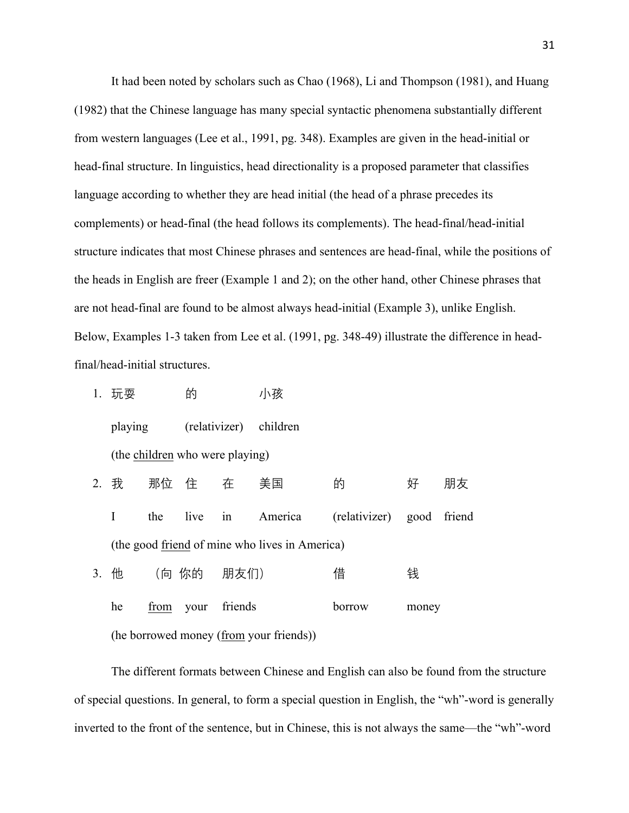It had been noted by scholars such as Chao (1968), Li and Thompson (1981), and Huang (1982) that the Chinese language has many special syntactic phenomena substantially different from western languages (Lee et al., 1991, pg. 348). Examples are given in the head-initial or head-final structure. In linguistics, head directionality is a proposed parameter that classifies language according to whether they are head initial (the head of a phrase precedes its complements) or head-final (the head follows its complements). The head-final/head-initial structure indicates that most Chinese phrases and sentences are head-final, while the positions of the heads in English are freer (Example 1 and 2); on the other hand, other Chinese phrases that are not head-final are found to be almost always head-initial (Example 3), unlike English. Below, Examples 1-3 taken from Lee et al. (1991, pg. 348-49) illustrate the difference in headfinal/head-initial structures.

1. 玩耍 的 小孩 playing (relativizer) children (the children who were playing) 2. 我 那位 住 在 美国 的 好 朋友 I the live in America (relativizer) good friend (the good friend of mine who lives in America) 3. 他 (向 你的 朋友们) 借 钱 he from your friends borrow money (he borrowed money (from your friends))

The different formats between Chinese and English can also be found from the structure of special questions. In general, to form a special question in English, the "wh"-word is generally inverted to the front of the sentence, but in Chinese, this is not always the same—the "wh"-word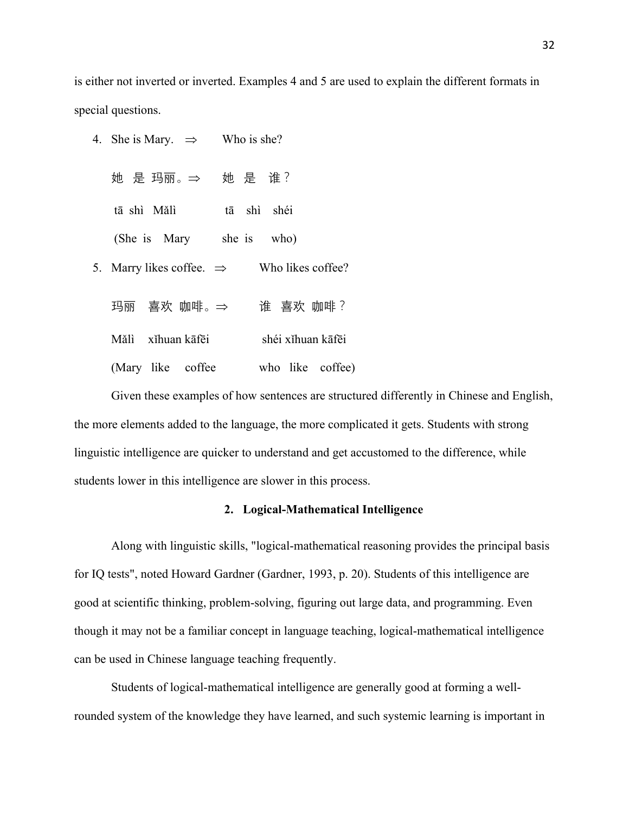is either not inverted or inverted. Examples 4 and 5 are used to explain the different formats in special questions.

| 4. She is Mary. $\Rightarrow$ Who is she? |                   |
|-------------------------------------------|-------------------|
| 她 是 玛丽。⇒ → 她 是 谁?                         |                   |
| tā shì Mǎlì                               | tā shì shéi       |
| (She is Mary she is who)                  |                   |
| 5. Marry likes coffee. $\Rightarrow$      | Who likes coffee? |
| 玛丽 喜欢  咖啡。⇒                               | 谁 喜欢 咖啡?          |
| Mălì xíhuan kāfēi                         | shéi xíhuan kāfēi |
| (Mary like coffee                         | who like coffee)  |

Given these examples of how sentences are structured differently in Chinese and English, the more elements added to the language, the more complicated it gets. Students with strong linguistic intelligence are quicker to understand and get accustomed to the difference, while students lower in this intelligence are slower in this process.

# **2. Logical-Mathematical Intelligence**

Along with linguistic skills, "logical-mathematical reasoning provides the principal basis for IQ tests", noted Howard Gardner (Gardner, 1993, p. 20). Students of this intelligence are good at scientific thinking, problem-solving, figuring out large data, and programming. Even though it may not be a familiar concept in language teaching, logical-mathematical intelligence can be used in Chinese language teaching frequently.

Students of logical-mathematical intelligence are generally good at forming a wellrounded system of the knowledge they have learned, and such systemic learning is important in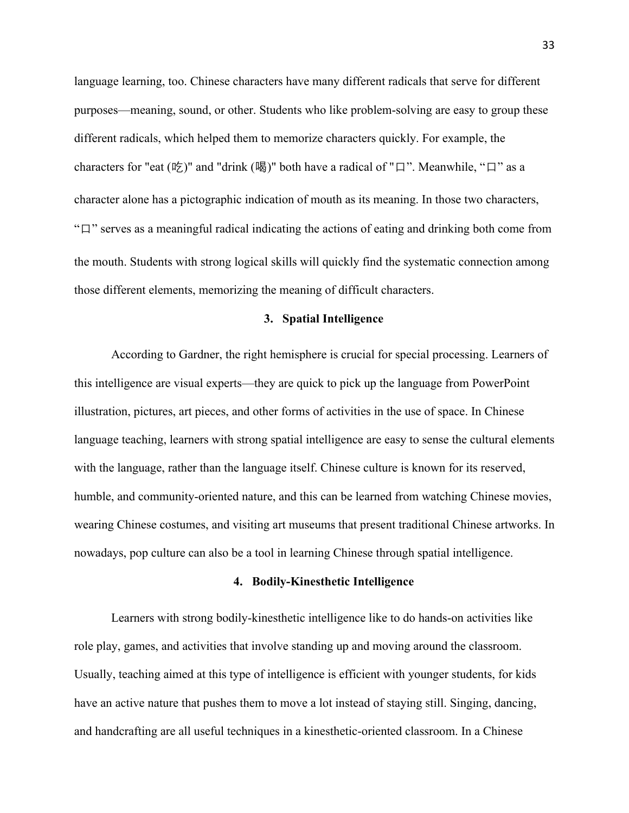language learning, too. Chinese characters have many different radicals that serve for different purposes—meaning, sound, or other. Students who like problem-solving are easy to group these different radicals, which helped them to memorize characters quickly. For example, the characters for "eat  $(\nabla \xi)$ " and "drink  $(\nabla \xi)$ " both have a radical of "口". Meanwhile, "口" as a character alone has a pictographic indication of mouth as its meaning. In those two characters, "口" serves as a meaningful radical indicating the actions of eating and drinking both come from the mouth. Students with strong logical skills will quickly find the systematic connection among those different elements, memorizing the meaning of difficult characters.

#### **3. Spatial Intelligence**

According to Gardner, the right hemisphere is crucial for special processing. Learners of this intelligence are visual experts—they are quick to pick up the language from PowerPoint illustration, pictures, art pieces, and other forms of activities in the use of space. In Chinese language teaching, learners with strong spatial intelligence are easy to sense the cultural elements with the language, rather than the language itself. Chinese culture is known for its reserved, humble, and community-oriented nature, and this can be learned from watching Chinese movies, wearing Chinese costumes, and visiting art museums that present traditional Chinese artworks. In nowadays, pop culture can also be a tool in learning Chinese through spatial intelligence.

# **4. Bodily-Kinesthetic Intelligence**

Learners with strong bodily-kinesthetic intelligence like to do hands-on activities like role play, games, and activities that involve standing up and moving around the classroom. Usually, teaching aimed at this type of intelligence is efficient with younger students, for kids have an active nature that pushes them to move a lot instead of staying still. Singing, dancing, and handcrafting are all useful techniques in a kinesthetic-oriented classroom. In a Chinese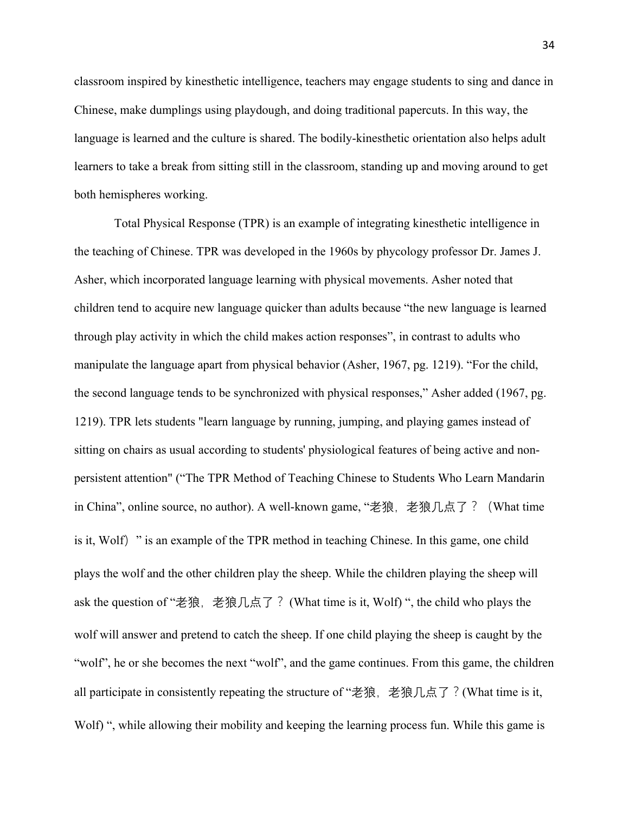classroom inspired by kinesthetic intelligence, teachers may engage students to sing and dance in Chinese, make dumplings using playdough, and doing traditional papercuts. In this way, the language is learned and the culture is shared. The bodily-kinesthetic orientation also helps adult learners to take a break from sitting still in the classroom, standing up and moving around to get both hemispheres working.

Total Physical Response (TPR) is an example of integrating kinesthetic intelligence in the teaching of Chinese. TPR was developed in the 1960s by phycology professor Dr. James J. Asher, which incorporated language learning with physical movements. Asher noted that children tend to acquire new language quicker than adults because "the new language is learned through play activity in which the child makes action responses", in contrast to adults who manipulate the language apart from physical behavior (Asher, 1967, pg. 1219). "For the child, the second language tends to be synchronized with physical responses," Asher added (1967, pg. 1219). TPR lets students "learn language by running, jumping, and playing games instead of sitting on chairs as usual according to students' physiological features of being active and nonpersistent attention" ("The TPR Method of Teaching Chinese to Students Who Learn Mandarin in China", online source, no author). A well-known game, "老狼, 老狼几点了?(What time is it, Wolf) " is an example of the TPR method in teaching Chinese. In this game, one child plays the wolf and the other children play the sheep. While the children playing the sheep will ask the question of "老狼, 老狼几点了? (What time is it, Wolf) ", the child who plays the wolf will answer and pretend to catch the sheep. If one child playing the sheep is caught by the "wolf", he or she becomes the next "wolf", and the game continues. From this game, the children all participate in consistently repeating the structure of "老狼, 老狼几点了?(What time is it, Wolf) ", while allowing their mobility and keeping the learning process fun. While this game is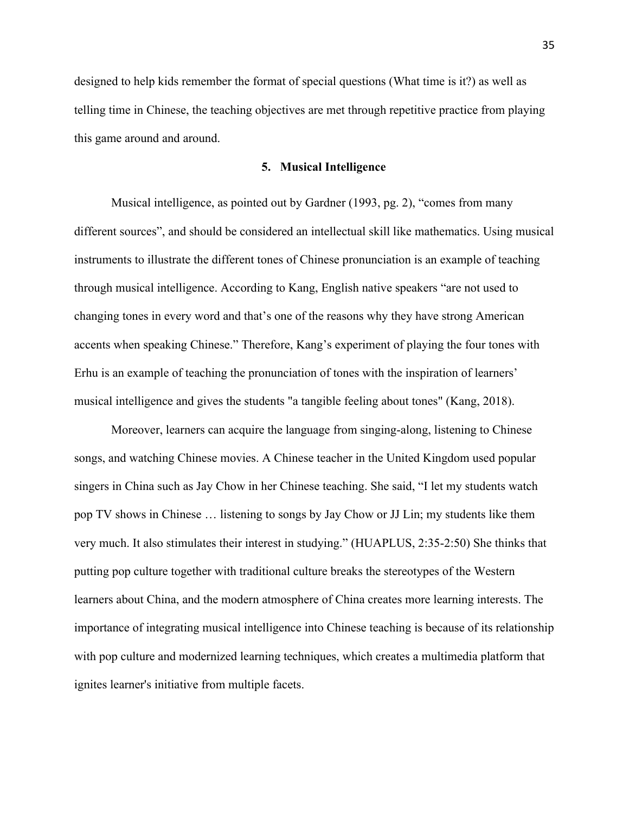designed to help kids remember the format of special questions (What time is it?) as well as telling time in Chinese, the teaching objectives are met through repetitive practice from playing this game around and around.

#### **5. Musical Intelligence**

Musical intelligence, as pointed out by Gardner (1993, pg. 2), "comes from many different sources", and should be considered an intellectual skill like mathematics. Using musical instruments to illustrate the different tones of Chinese pronunciation is an example of teaching through musical intelligence. According to Kang, English native speakers "are not used to changing tones in every word and that's one of the reasons why they have strong American accents when speaking Chinese." Therefore, Kang's experiment of playing the four tones with Erhu is an example of teaching the pronunciation of tones with the inspiration of learners' musical intelligence and gives the students "a tangible feeling about tones" (Kang, 2018).

Moreover, learners can acquire the language from singing-along, listening to Chinese songs, and watching Chinese movies. A Chinese teacher in the United Kingdom used popular singers in China such as Jay Chow in her Chinese teaching. She said, "I let my students watch pop TV shows in Chinese … listening to songs by Jay Chow or JJ Lin; my students like them very much. It also stimulates their interest in studying." (HUAPLUS, 2:35-2:50) She thinks that putting pop culture together with traditional culture breaks the stereotypes of the Western learners about China, and the modern atmosphere of China creates more learning interests. The importance of integrating musical intelligence into Chinese teaching is because of its relationship with pop culture and modernized learning techniques, which creates a multimedia platform that ignites learner's initiative from multiple facets.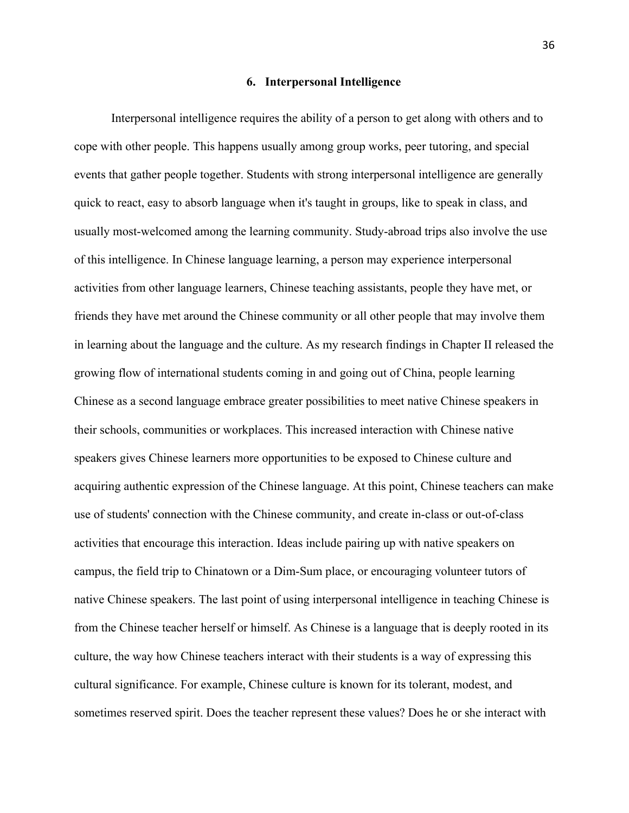#### **6. Interpersonal Intelligence**

Interpersonal intelligence requires the ability of a person to get along with others and to cope with other people. This happens usually among group works, peer tutoring, and special events that gather people together. Students with strong interpersonal intelligence are generally quick to react, easy to absorb language when it's taught in groups, like to speak in class, and usually most-welcomed among the learning community. Study-abroad trips also involve the use of this intelligence. In Chinese language learning, a person may experience interpersonal activities from other language learners, Chinese teaching assistants, people they have met, or friends they have met around the Chinese community or all other people that may involve them in learning about the language and the culture. As my research findings in Chapter II released the growing flow of international students coming in and going out of China, people learning Chinese as a second language embrace greater possibilities to meet native Chinese speakers in their schools, communities or workplaces. This increased interaction with Chinese native speakers gives Chinese learners more opportunities to be exposed to Chinese culture and acquiring authentic expression of the Chinese language. At this point, Chinese teachers can make use of students' connection with the Chinese community, and create in-class or out-of-class activities that encourage this interaction. Ideas include pairing up with native speakers on campus, the field trip to Chinatown or a Dim-Sum place, or encouraging volunteer tutors of native Chinese speakers. The last point of using interpersonal intelligence in teaching Chinese is from the Chinese teacher herself or himself. As Chinese is a language that is deeply rooted in its culture, the way how Chinese teachers interact with their students is a way of expressing this cultural significance. For example, Chinese culture is known for its tolerant, modest, and sometimes reserved spirit. Does the teacher represent these values? Does he or she interact with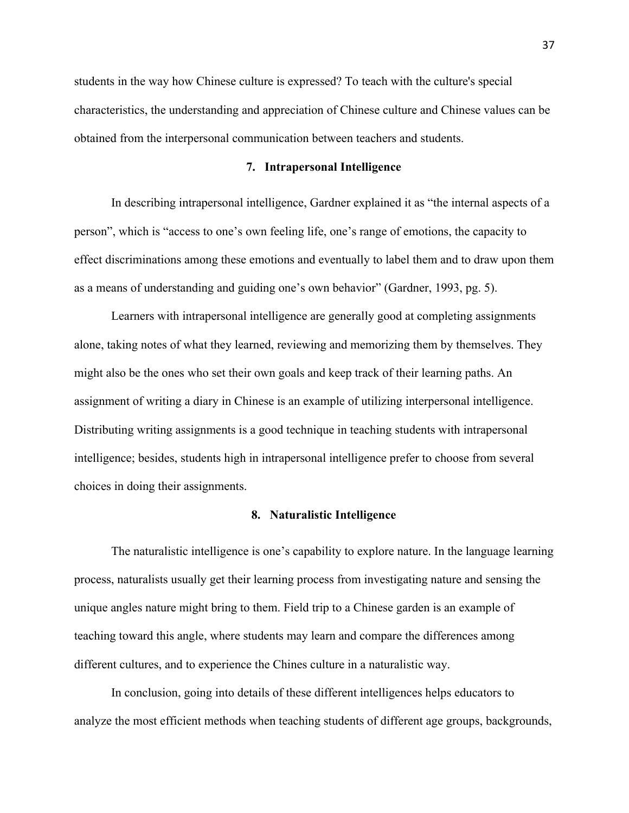students in the way how Chinese culture is expressed? To teach with the culture's special characteristics, the understanding and appreciation of Chinese culture and Chinese values can be obtained from the interpersonal communication between teachers and students.

#### **7. Intrapersonal Intelligence**

In describing intrapersonal intelligence, Gardner explained it as "the internal aspects of a person", which is "access to one's own feeling life, one's range of emotions, the capacity to effect discriminations among these emotions and eventually to label them and to draw upon them as a means of understanding and guiding one's own behavior" (Gardner, 1993, pg. 5).

Learners with intrapersonal intelligence are generally good at completing assignments alone, taking notes of what they learned, reviewing and memorizing them by themselves. They might also be the ones who set their own goals and keep track of their learning paths. An assignment of writing a diary in Chinese is an example of utilizing interpersonal intelligence. Distributing writing assignments is a good technique in teaching students with intrapersonal intelligence; besides, students high in intrapersonal intelligence prefer to choose from several choices in doing their assignments.

#### **8. Naturalistic Intelligence**

The naturalistic intelligence is one's capability to explore nature. In the language learning process, naturalists usually get their learning process from investigating nature and sensing the unique angles nature might bring to them. Field trip to a Chinese garden is an example of teaching toward this angle, where students may learn and compare the differences among different cultures, and to experience the Chines culture in a naturalistic way.

In conclusion, going into details of these different intelligences helps educators to analyze the most efficient methods when teaching students of different age groups, backgrounds,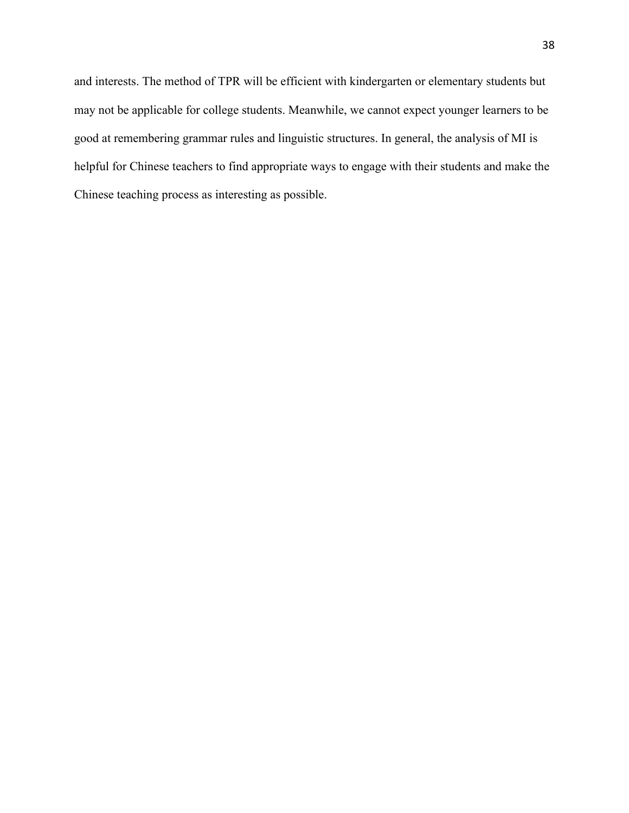and interests. The method of TPR will be efficient with kindergarten or elementary students but may not be applicable for college students. Meanwhile, we cannot expect younger learners to be good at remembering grammar rules and linguistic structures. In general, the analysis of MI is helpful for Chinese teachers to find appropriate ways to engage with their students and make the Chinese teaching process as interesting as possible.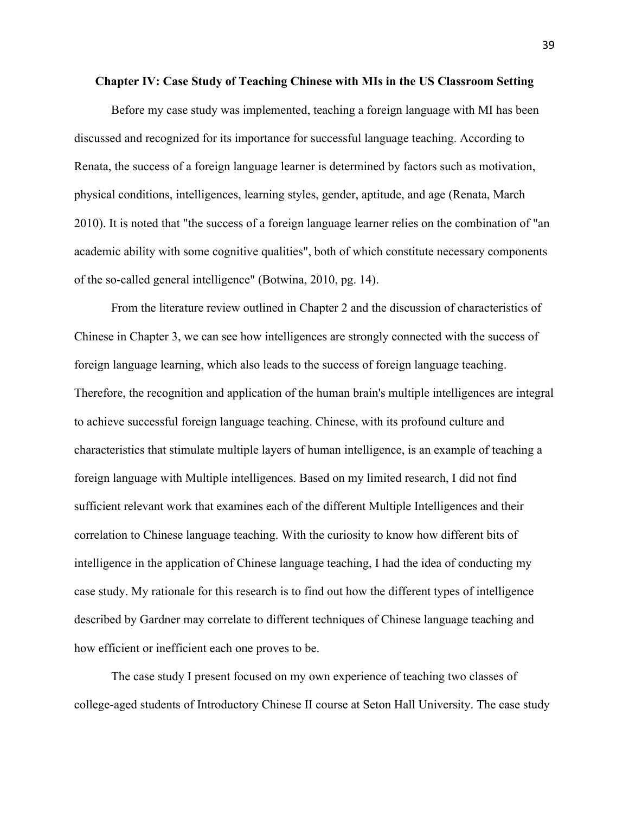#### **Chapter IV: Case Study of Teaching Chinese with MIs in the US Classroom Setting**

Before my case study was implemented, teaching a foreign language with MI has been discussed and recognized for its importance for successful language teaching. According to Renata, the success of a foreign language learner is determined by factors such as motivation, physical conditions, intelligences, learning styles, gender, aptitude, and age (Renata, March 2010). It is noted that "the success of a foreign language learner relies on the combination of "an academic ability with some cognitive qualities", both of which constitute necessary components of the so-called general intelligence" (Botwina, 2010, pg. 14).

From the literature review outlined in Chapter 2 and the discussion of characteristics of Chinese in Chapter 3, we can see how intelligences are strongly connected with the success of foreign language learning, which also leads to the success of foreign language teaching. Therefore, the recognition and application of the human brain's multiple intelligences are integral to achieve successful foreign language teaching. Chinese, with its profound culture and characteristics that stimulate multiple layers of human intelligence, is an example of teaching a foreign language with Multiple intelligences. Based on my limited research, I did not find sufficient relevant work that examines each of the different Multiple Intelligences and their correlation to Chinese language teaching. With the curiosity to know how different bits of intelligence in the application of Chinese language teaching, I had the idea of conducting my case study. My rationale for this research is to find out how the different types of intelligence described by Gardner may correlate to different techniques of Chinese language teaching and how efficient or inefficient each one proves to be.

The case study I present focused on my own experience of teaching two classes of college-aged students of Introductory Chinese II course at Seton Hall University. The case study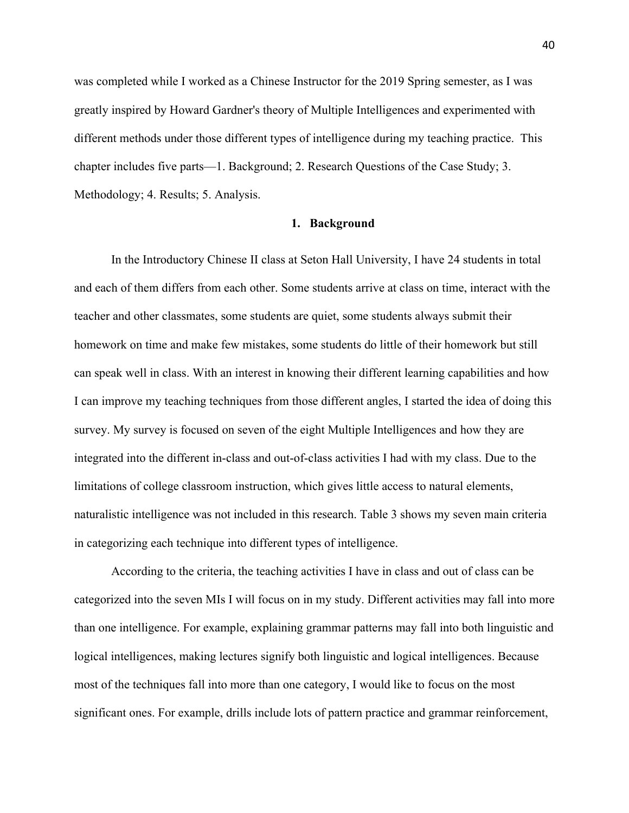was completed while I worked as a Chinese Instructor for the 2019 Spring semester, as I was greatly inspired by Howard Gardner's theory of Multiple Intelligences and experimented with different methods under those different types of intelligence during my teaching practice. This chapter includes five parts—1. Background; 2. Research Questions of the Case Study; 3. Methodology; 4. Results; 5. Analysis.

#### **1. Background**

In the Introductory Chinese II class at Seton Hall University, I have 24 students in total and each of them differs from each other. Some students arrive at class on time, interact with the teacher and other classmates, some students are quiet, some students always submit their homework on time and make few mistakes, some students do little of their homework but still can speak well in class. With an interest in knowing their different learning capabilities and how I can improve my teaching techniques from those different angles, I started the idea of doing this survey. My survey is focused on seven of the eight Multiple Intelligences and how they are integrated into the different in-class and out-of-class activities I had with my class. Due to the limitations of college classroom instruction, which gives little access to natural elements, naturalistic intelligence was not included in this research. Table 3 shows my seven main criteria in categorizing each technique into different types of intelligence.

According to the criteria, the teaching activities I have in class and out of class can be categorized into the seven MIs I will focus on in my study. Different activities may fall into more than one intelligence. For example, explaining grammar patterns may fall into both linguistic and logical intelligences, making lectures signify both linguistic and logical intelligences. Because most of the techniques fall into more than one category, I would like to focus on the most significant ones. For example, drills include lots of pattern practice and grammar reinforcement,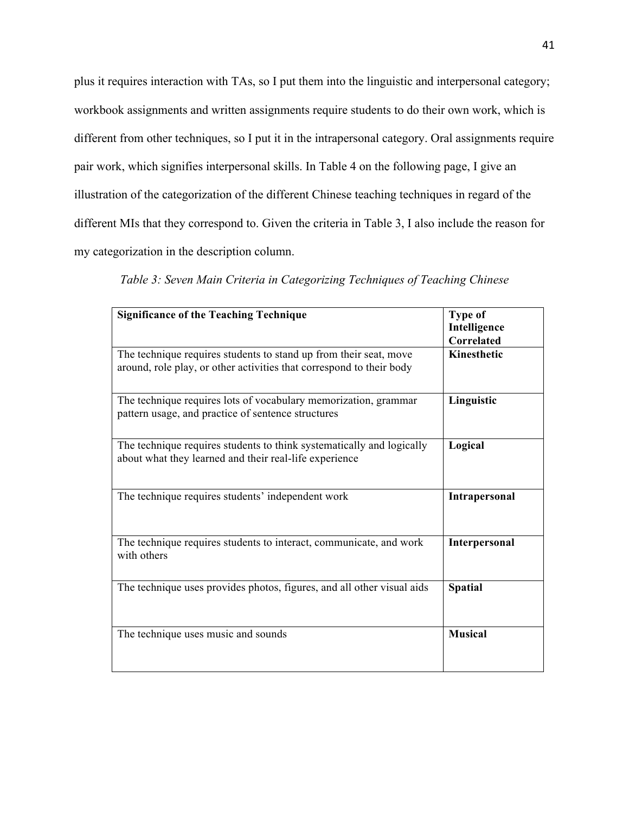plus it requires interaction with TAs, so I put them into the linguistic and interpersonal category; workbook assignments and written assignments require students to do their own work, which is different from other techniques, so I put it in the intrapersonal category. Oral assignments require pair work, which signifies interpersonal skills. In Table 4 on the following page, I give an illustration of the categorization of the different Chinese teaching techniques in regard of the different MIs that they correspond to. Given the criteria in Table 3, I also include the reason for my categorization in the description column.

| <b>Significance of the Teaching Technique</b>                                                                                             | <b>Type of</b><br>Intelligence<br><b>Correlated</b> |
|-------------------------------------------------------------------------------------------------------------------------------------------|-----------------------------------------------------|
| The technique requires students to stand up from their seat, move<br>around, role play, or other activities that correspond to their body | Kinesthetic                                         |
| The technique requires lots of vocabulary memorization, grammar<br>pattern usage, and practice of sentence structures                     | Linguistic                                          |
| The technique requires students to think systematically and logically<br>about what they learned and their real-life experience           | Logical                                             |
| The technique requires students' independent work                                                                                         | Intrapersonal                                       |
| The technique requires students to interact, communicate, and work<br>with others                                                         | Interpersonal                                       |
| The technique uses provides photos, figures, and all other visual aids                                                                    | <b>Spatial</b>                                      |
| The technique uses music and sounds                                                                                                       | <b>Musical</b>                                      |

*Table 3: Seven Main Criteria in Categorizing Techniques of Teaching Chinese*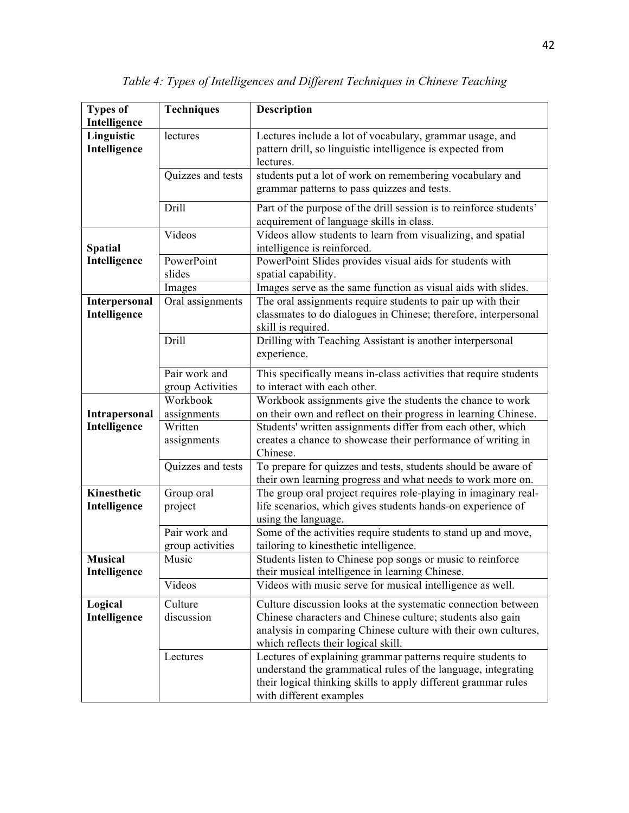| <b>Types of</b><br>Intelligence | <b>Techniques</b>                 | Description                                                                                                                                                                                                                          |
|---------------------------------|-----------------------------------|--------------------------------------------------------------------------------------------------------------------------------------------------------------------------------------------------------------------------------------|
| Linguistic<br>Intelligence      | lectures                          | Lectures include a lot of vocabulary, grammar usage, and<br>pattern drill, so linguistic intelligence is expected from<br>lectures.                                                                                                  |
|                                 | Quizzes and tests                 | students put a lot of work on remembering vocabulary and<br>grammar patterns to pass quizzes and tests.                                                                                                                              |
|                                 | Drill                             | Part of the purpose of the drill session is to reinforce students'<br>acquirement of language skills in class.                                                                                                                       |
| <b>Spatial</b>                  | Videos                            | Videos allow students to learn from visualizing, and spatial<br>intelligence is reinforced.                                                                                                                                          |
| Intelligence                    | PowerPoint<br>slides              | PowerPoint Slides provides visual aids for students with<br>spatial capability.                                                                                                                                                      |
|                                 | Images                            | Images serve as the same function as visual aids with slides.                                                                                                                                                                        |
| Interpersonal<br>Intelligence   | Oral assignments                  | The oral assignments require students to pair up with their<br>classmates to do dialogues in Chinese; therefore, interpersonal<br>skill is required.                                                                                 |
|                                 | Drill                             | Drilling with Teaching Assistant is another interpersonal<br>experience.                                                                                                                                                             |
|                                 | Pair work and<br>group Activities | This specifically means in-class activities that require students<br>to interact with each other.                                                                                                                                    |
|                                 | Workbook                          | Workbook assignments give the students the chance to work                                                                                                                                                                            |
| Intrapersonal                   | assignments                       | on their own and reflect on their progress in learning Chinese.                                                                                                                                                                      |
| Intelligence                    | Written                           | Students' written assignments differ from each other, which                                                                                                                                                                          |
|                                 | assignments                       | creates a chance to showcase their performance of writing in<br>Chinese.                                                                                                                                                             |
|                                 | Quizzes and tests                 | To prepare for quizzes and tests, students should be aware of<br>their own learning progress and what needs to work more on.                                                                                                         |
| Kinesthetic<br>Intelligence     | Group oral<br>project             | The group oral project requires role-playing in imaginary real-<br>life scenarios, which gives students hands-on experience of<br>using the language.                                                                                |
|                                 | Pair work and<br>group activities | Some of the activities require students to stand up and move,<br>tailoring to kinesthetic intelligence.                                                                                                                              |
| <b>Musical</b><br>Intelligence  | Music                             | Students listen to Chinese pop songs or music to reinforce<br>their musical intelligence in learning Chinese.                                                                                                                        |
|                                 | Videos                            | Videos with music serve for musical intelligence as well.                                                                                                                                                                            |
| Logical<br>Intelligence         | Culture<br>discussion             | Culture discussion looks at the systematic connection between<br>Chinese characters and Chinese culture; students also gain<br>analysis in comparing Chinese culture with their own cultures,<br>which reflects their logical skill. |
|                                 | Lectures                          | Lectures of explaining grammar patterns require students to<br>understand the grammatical rules of the language, integrating<br>their logical thinking skills to apply different grammar rules<br>with different examples            |

*Table 4: Types of Intelligences and Different Techniques in Chinese Teaching*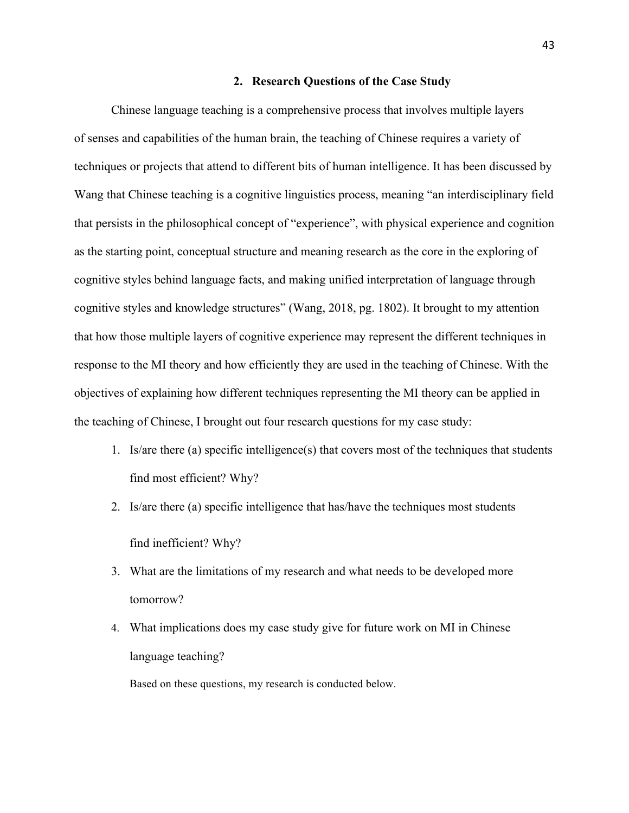#### **2. Research Questions of the Case Study**

Chinese language teaching is a comprehensive process that involves multiple layers of senses and capabilities of the human brain, the teaching of Chinese requires a variety of techniques or projects that attend to different bits of human intelligence. It has been discussed by Wang that Chinese teaching is a cognitive linguistics process, meaning "an interdisciplinary field that persists in the philosophical concept of "experience", with physical experience and cognition as the starting point, conceptual structure and meaning research as the core in the exploring of cognitive styles behind language facts, and making unified interpretation of language through cognitive styles and knowledge structures" (Wang, 2018, pg. 1802). It brought to my attention that how those multiple layers of cognitive experience may represent the different techniques in response to the MI theory and how efficiently they are used in the teaching of Chinese. With the objectives of explaining how different techniques representing the MI theory can be applied in the teaching of Chinese, I brought out four research questions for my case study:

- 1. Is/are there (a) specific intelligence(s) that covers most of the techniques that students find most efficient? Why?
- 2. Is/are there (a) specific intelligence that has/have the techniques most students find inefficient? Why?
- 3. What are the limitations of my research and what needs to be developed more tomorrow?
- 4. What implications does my case study give for future work on MI in Chinese language teaching?

Based on these questions, my research is conducted below.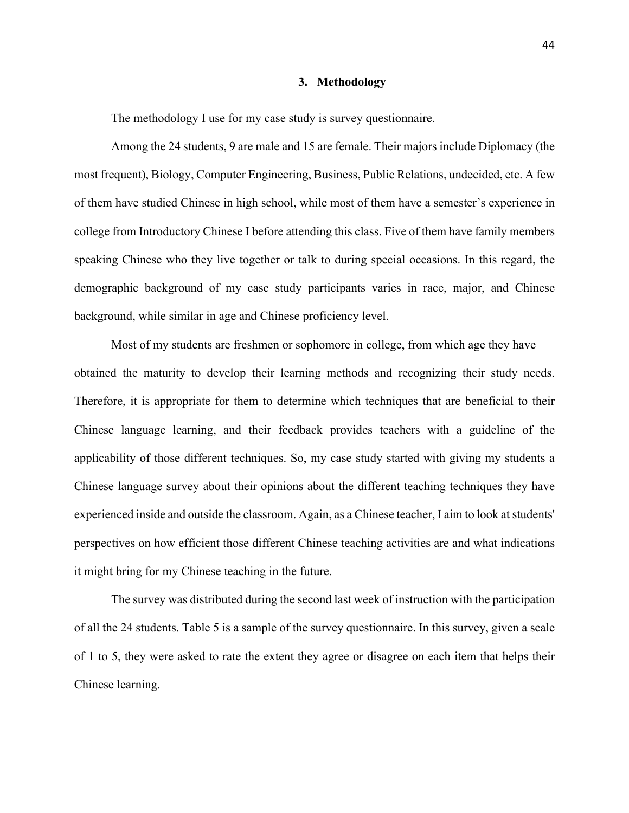#### **3. Methodology**

The methodology I use for my case study is survey questionnaire.

Among the 24 students, 9 are male and 15 are female. Their majors include Diplomacy (the most frequent), Biology, Computer Engineering, Business, Public Relations, undecided, etc. A few of them have studied Chinese in high school, while most of them have a semester's experience in college from Introductory Chinese I before attending this class. Five of them have family members speaking Chinese who they live together or talk to during special occasions. In this regard, the demographic background of my case study participants varies in race, major, and Chinese background, while similar in age and Chinese proficiency level.

Most of my students are freshmen or sophomore in college, from which age they have obtained the maturity to develop their learning methods and recognizing their study needs. Therefore, it is appropriate for them to determine which techniques that are beneficial to their Chinese language learning, and their feedback provides teachers with a guideline of the applicability of those different techniques. So, my case study started with giving my students a Chinese language survey about their opinions about the different teaching techniques they have experienced inside and outside the classroom. Again, as a Chinese teacher, I aim to look at students' perspectives on how efficient those different Chinese teaching activities are and what indications it might bring for my Chinese teaching in the future.

The survey was distributed during the second last week of instruction with the participation of all the 24 students. Table 5 is a sample of the survey questionnaire. In this survey, given a scale of 1 to 5, they were asked to rate the extent they agree or disagree on each item that helps their Chinese learning.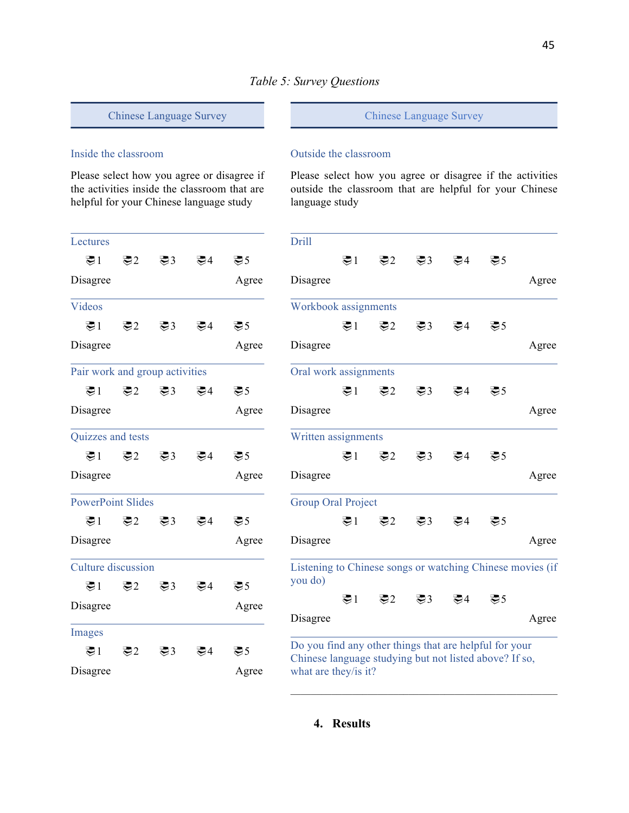## Chinese Language Survey

## Inside the classroom

Please select how you agree or disagree if the activities inside the classroom that are helpful for your Chinese language study

| Lectures                       |                 |                 |                 |                 |
|--------------------------------|-----------------|-----------------|-----------------|-----------------|
| $\mathfrak{B}1$                | $\mathfrak{D}2$ | $\mathfrak{B}3$ | $\mathfrak{B}4$ | $\mathfrak{B}5$ |
| Disagree                       |                 |                 |                 | Agree           |
| Videos                         |                 |                 |                 |                 |
| $\mathfrak{D}1$                | $\mathfrak{B}2$ | $\mathfrak{B}3$ | $\mathfrak{B}4$ | $\mathfrak{B}5$ |
| Disagree                       |                 |                 |                 | Agree           |
| Pair work and group activities |                 |                 |                 |                 |
| $\mathfrak{B}1$                | $\mathfrak{D}2$ | $\mathfrak{B}3$ | $\mathfrak{B}4$ | $\mathfrak{B}5$ |
| Disagree                       |                 |                 |                 | Agree           |
| Quizzes and tests              |                 |                 |                 |                 |
| TI.                            | $\mathcal{L}$   | $\mathfrak{B}3$ | $\mathfrak{B}4$ | $\mathfrak{B}5$ |
| Disagree                       |                 |                 |                 | Agree           |
| <b>PowerPoint Slides</b>       |                 |                 |                 |                 |
| ≅1                             | $\mathbf{E}2$   | $\mathcal{L}$ 3 | $\mathfrak{B}4$ | $\mathfrak{B}5$ |
| Disagree                       |                 |                 |                 | Agree           |
| <b>Culture</b> discussion      |                 |                 |                 |                 |
| $\mathfrak{B}1$                | $\mathfrak{B}2$ | $\mathfrak{B}3$ | ≅4              | $\mathfrak{B}5$ |
| Disagree                       |                 |                 |                 | Agree           |
| Images                         |                 |                 |                 |                 |
| $\mathfrak{D}1$                | $\mathfrak{B}2$ | $\mathfrak{B}3$ | $\mathfrak{B}4$ | $\mathfrak{B}5$ |
| Disagree                       |                 |                 |                 | Agree           |

#### Chinese Language Survey

#### Outside the classroom

Please select how you agree or disagree if the activities outside the classroom that are helpful for your Chinese language study

| Drill                                                                                                                                    |  |                                 |                    |                 |                 |       |
|------------------------------------------------------------------------------------------------------------------------------------------|--|---------------------------------|--------------------|-----------------|-----------------|-------|
|                                                                                                                                          |  | $\mathfrak{B}1$ $\mathfrak{B}2$ | $\mathfrak{B}3$    | $\mathfrak{B}4$ | $\mathfrak{B}5$ |       |
| Disagree                                                                                                                                 |  |                                 |                    |                 |                 | Agree |
| Workbook assignments                                                                                                                     |  |                                 |                    |                 |                 |       |
|                                                                                                                                          |  | $\mathfrak{B}1$ $\mathfrak{B}2$ | $\mathfrak{B}3$    |                 | 要4 要5           |       |
| Disagree                                                                                                                                 |  |                                 |                    |                 |                 | Agree |
| Oral work assignments                                                                                                                    |  |                                 |                    |                 |                 |       |
|                                                                                                                                          |  |                                 | 要1 要2 要3           | $\mathfrak{B}4$ | $\mathfrak{B}5$ |       |
| Disagree                                                                                                                                 |  |                                 |                    |                 |                 | Agree |
| Written assignments                                                                                                                      |  |                                 |                    |                 |                 |       |
|                                                                                                                                          |  | $\mathfrak{B}1$ $\mathfrak{B}2$ | $\bigcircledast$ 3 |                 | 要4 要5           |       |
| Disagree                                                                                                                                 |  |                                 |                    |                 |                 | Agree |
| <b>Group Oral Project</b>                                                                                                                |  |                                 |                    |                 |                 |       |
|                                                                                                                                          |  |                                 | 要1 要2 要3           | $\mathfrak{B}4$ | $\mathfrak{B}5$ |       |
| Disagree                                                                                                                                 |  |                                 |                    |                 |                 | Agree |
| Listening to Chinese songs or watching Chinese movies (if<br>you do)                                                                     |  |                                 |                    |                 |                 |       |
|                                                                                                                                          |  |                                 |                    | 要1 要2 要3 要4 要5  |                 |       |
| Disagree                                                                                                                                 |  |                                 |                    |                 |                 | Agree |
| Do you find any other things that are helpful for your<br>Chinese language studying but not listed above? If so,<br>what are they/is it? |  |                                 |                    |                 |                 |       |

 $\mathcal{L}_\text{max}$  and  $\mathcal{L}_\text{max}$  and  $\mathcal{L}_\text{max}$  and  $\mathcal{L}_\text{max}$  and  $\mathcal{L}_\text{max}$ 

# **4. Results**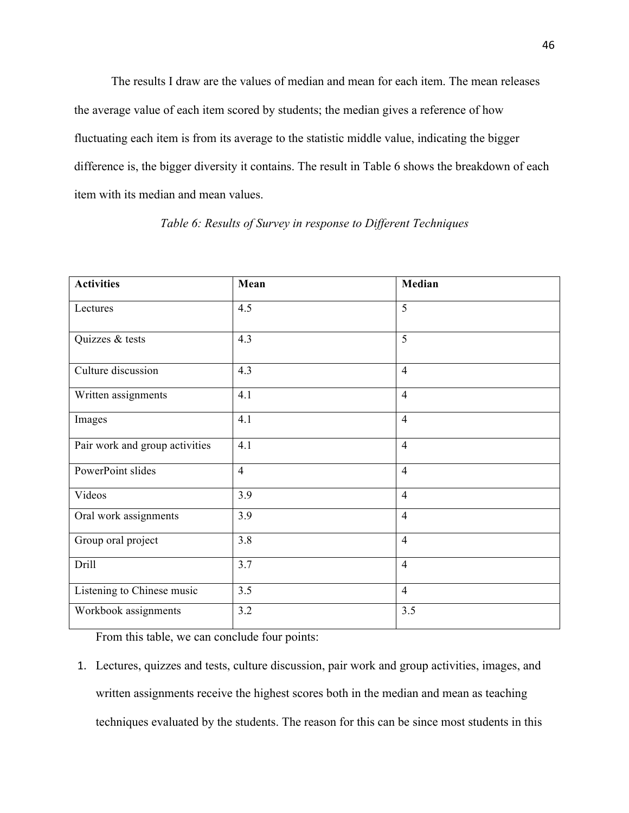The results I draw are the values of median and mean for each item. The mean releases the average value of each item scored by students; the median gives a reference of how fluctuating each item is from its average to the statistic middle value, indicating the bigger difference is, the bigger diversity it contains. The result in Table 6 shows the breakdown of each item with its median and mean values.

| <b>Activities</b>              | Mean           | Median         |
|--------------------------------|----------------|----------------|
| Lectures                       | 4.5            | 5              |
| Quizzes & tests                | 4.3            | 5              |
| Culture discussion             | 4.3            | $\overline{4}$ |
| Written assignments            | 4.1            | $\overline{4}$ |
| Images                         | 4.1            | $\overline{4}$ |
| Pair work and group activities | 4.1            | $\overline{4}$ |
| PowerPoint slides              | $\overline{4}$ | $\overline{4}$ |
| Videos                         | 3.9            | $\overline{4}$ |
| Oral work assignments          | 3.9            | $\overline{4}$ |
| Group oral project             | 3.8            | $\overline{4}$ |
| Drill                          | 3.7            | $\overline{4}$ |
| Listening to Chinese music     | 3.5            | $\overline{4}$ |
| Workbook assignments           | 3.2            | 3.5            |

*Table 6: Results of Survey in response to Different Techniques*

From this table, we can conclude four points:

1. Lectures, quizzes and tests, culture discussion, pair work and group activities, images, and written assignments receive the highest scores both in the median and mean as teaching techniques evaluated by the students. The reason for this can be since most students in this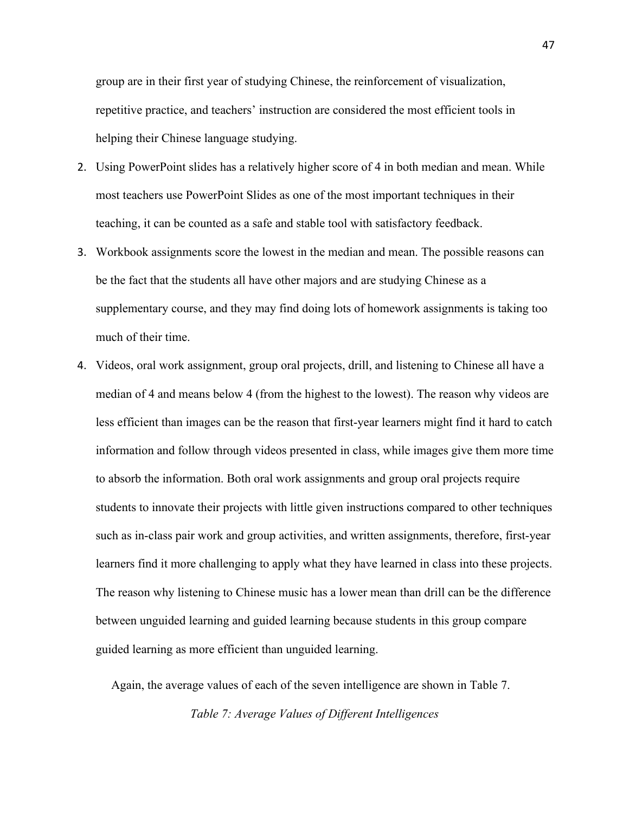group are in their first year of studying Chinese, the reinforcement of visualization, repetitive practice, and teachers' instruction are considered the most efficient tools in helping their Chinese language studying.

- 2. Using PowerPoint slides has a relatively higher score of 4 in both median and mean. While most teachers use PowerPoint Slides as one of the most important techniques in their teaching, it can be counted as a safe and stable tool with satisfactory feedback.
- 3. Workbook assignments score the lowest in the median and mean. The possible reasons can be the fact that the students all have other majors and are studying Chinese as a supplementary course, and they may find doing lots of homework assignments is taking too much of their time.
- 4. Videos, oral work assignment, group oral projects, drill, and listening to Chinese all have a median of 4 and means below 4 (from the highest to the lowest). The reason why videos are less efficient than images can be the reason that first-year learners might find it hard to catch information and follow through videos presented in class, while images give them more time to absorb the information. Both oral work assignments and group oral projects require students to innovate their projects with little given instructions compared to other techniques such as in-class pair work and group activities, and written assignments, therefore, first-year learners find it more challenging to apply what they have learned in class into these projects. The reason why listening to Chinese music has a lower mean than drill can be the difference between unguided learning and guided learning because students in this group compare guided learning as more efficient than unguided learning.

Again, the average values of each of the seven intelligence are shown in Table 7.

*Table 7: Average Values of Different Intelligences*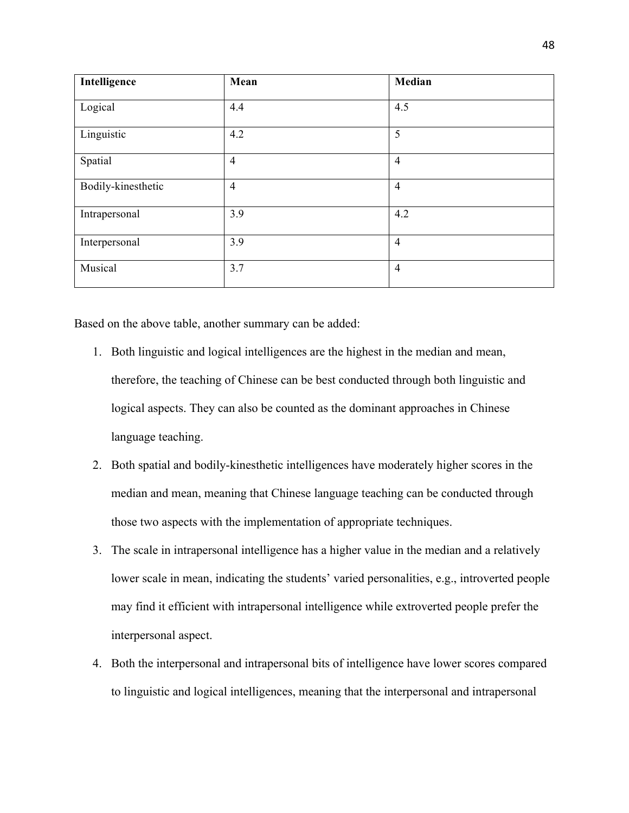| Intelligence       | Mean           | Median         |
|--------------------|----------------|----------------|
| Logical            | 4.4            | 4.5            |
| Linguistic         | 4.2            | 5              |
| Spatial            | $\overline{4}$ | $\overline{4}$ |
| Bodily-kinesthetic | $\overline{4}$ | $\overline{4}$ |
| Intrapersonal      | 3.9            | 4.2            |
| Interpersonal      | 3.9            | $\overline{4}$ |
| Musical            | 3.7            | $\overline{4}$ |

Based on the above table, another summary can be added:

- 1. Both linguistic and logical intelligences are the highest in the median and mean, therefore, the teaching of Chinese can be best conducted through both linguistic and logical aspects. They can also be counted as the dominant approaches in Chinese language teaching.
- 2. Both spatial and bodily-kinesthetic intelligences have moderately higher scores in the median and mean, meaning that Chinese language teaching can be conducted through those two aspects with the implementation of appropriate techniques.
- 3. The scale in intrapersonal intelligence has a higher value in the median and a relatively lower scale in mean, indicating the students' varied personalities, e.g., introverted people may find it efficient with intrapersonal intelligence while extroverted people prefer the interpersonal aspect.
- 4. Both the interpersonal and intrapersonal bits of intelligence have lower scores compared to linguistic and logical intelligences, meaning that the interpersonal and intrapersonal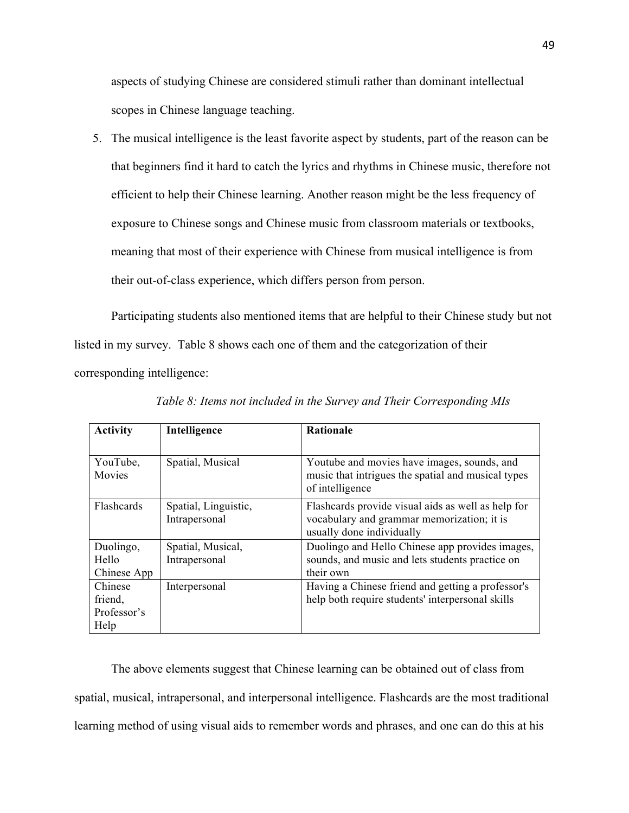aspects of studying Chinese are considered stimuli rather than dominant intellectual scopes in Chinese language teaching.

5. The musical intelligence is the least favorite aspect by students, part of the reason can be that beginners find it hard to catch the lyrics and rhythms in Chinese music, therefore not efficient to help their Chinese learning. Another reason might be the less frequency of exposure to Chinese songs and Chinese music from classroom materials or textbooks, meaning that most of their experience with Chinese from musical intelligence is from their out-of-class experience, which differs person from person.

Participating students also mentioned items that are helpful to their Chinese study but not listed in my survey. Table 8 shows each one of them and the categorization of their corresponding intelligence:

| <b>Activity</b>    | Intelligence                          | Rationale                                                                                                                     |
|--------------------|---------------------------------------|-------------------------------------------------------------------------------------------------------------------------------|
|                    |                                       |                                                                                                                               |
| YouTube,<br>Movies | Spatial, Musical                      | Youtube and movies have images, sounds, and<br>music that intrigues the spatial and musical types<br>of intelligence          |
| Flashcards         | Spatial, Linguistic,<br>Intrapersonal | Flashcards provide visual aids as well as help for<br>vocabulary and grammar memorization; it is<br>usually done individually |
| Duolingo,          | Spatial, Musical,                     | Duolingo and Hello Chinese app provides images,                                                                               |
| Hello              | Intrapersonal                         | sounds, and music and lets students practice on                                                                               |
| Chinese App        |                                       | their own                                                                                                                     |
| Chinese            | Interpersonal                         | Having a Chinese friend and getting a professor's                                                                             |
| friend,            |                                       | help both require students' interpersonal skills                                                                              |
| Professor's        |                                       |                                                                                                                               |
| Help               |                                       |                                                                                                                               |

*Table 8: Items not included in the Survey and Their Corresponding MIs*

The above elements suggest that Chinese learning can be obtained out of class from spatial, musical, intrapersonal, and interpersonal intelligence. Flashcards are the most traditional learning method of using visual aids to remember words and phrases, and one can do this at his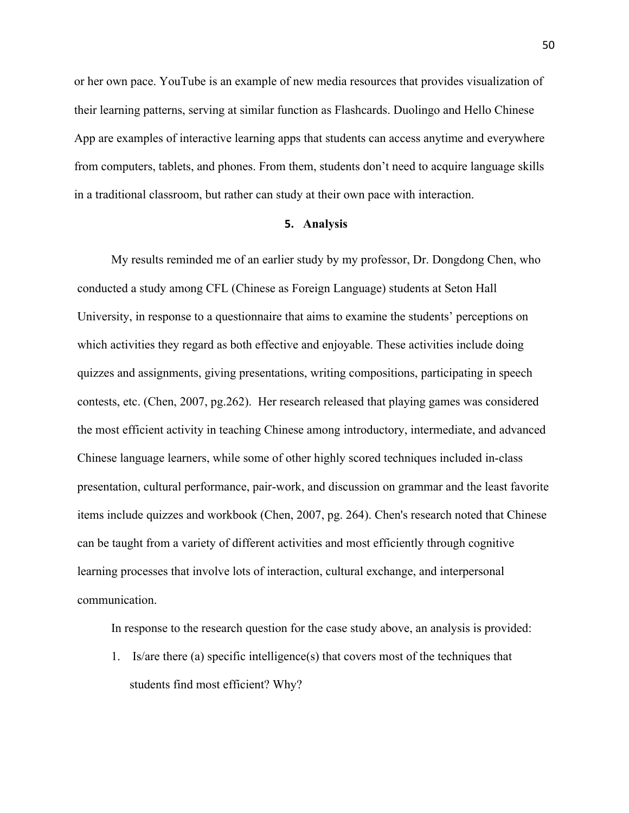or her own pace. YouTube is an example of new media resources that provides visualization of their learning patterns, serving at similar function as Flashcards. Duolingo and Hello Chinese App are examples of interactive learning apps that students can access anytime and everywhere from computers, tablets, and phones. From them, students don't need to acquire language skills in a traditional classroom, but rather can study at their own pace with interaction.

#### **5. Analysis**

My results reminded me of an earlier study by my professor, Dr. Dongdong Chen, who conducted a study among CFL (Chinese as Foreign Language) students at Seton Hall University, in response to a questionnaire that aims to examine the students' perceptions on which activities they regard as both effective and enjoyable. These activities include doing quizzes and assignments, giving presentations, writing compositions, participating in speech contests, etc. (Chen, 2007, pg.262). Her research released that playing games was considered the most efficient activity in teaching Chinese among introductory, intermediate, and advanced Chinese language learners, while some of other highly scored techniques included in-class presentation, cultural performance, pair-work, and discussion on grammar and the least favorite items include quizzes and workbook (Chen, 2007, pg. 264). Chen's research noted that Chinese can be taught from a variety of different activities and most efficiently through cognitive learning processes that involve lots of interaction, cultural exchange, and interpersonal communication.

In response to the research question for the case study above, an analysis is provided:

1. Is/are there (a) specific intelligence(s) that covers most of the techniques that students find most efficient? Why?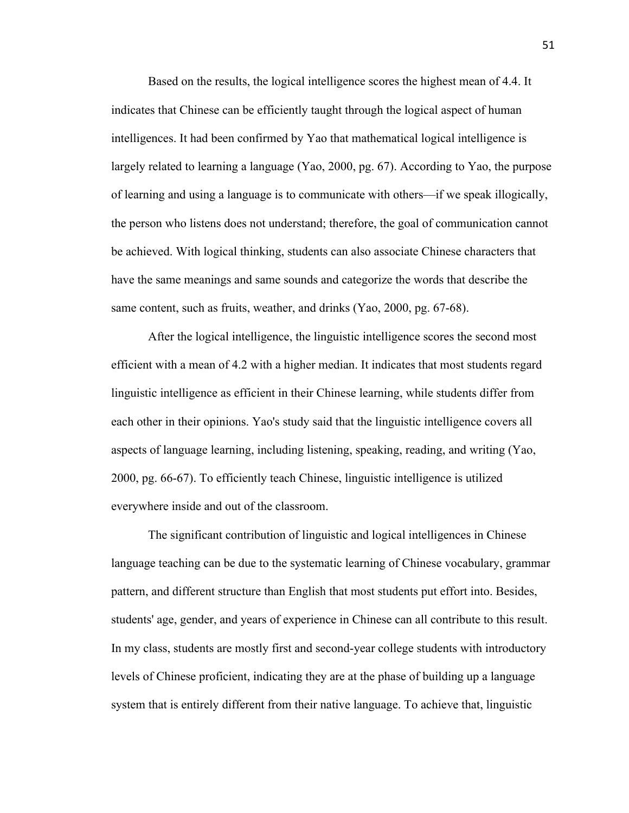Based on the results, the logical intelligence scores the highest mean of 4.4. It indicates that Chinese can be efficiently taught through the logical aspect of human intelligences. It had been confirmed by Yao that mathematical logical intelligence is largely related to learning a language (Yao, 2000, pg. 67). According to Yao, the purpose of learning and using a language is to communicate with others—if we speak illogically, the person who listens does not understand; therefore, the goal of communication cannot be achieved. With logical thinking, students can also associate Chinese characters that have the same meanings and same sounds and categorize the words that describe the same content, such as fruits, weather, and drinks (Yao, 2000, pg. 67-68).

After the logical intelligence, the linguistic intelligence scores the second most efficient with a mean of 4.2 with a higher median. It indicates that most students regard linguistic intelligence as efficient in their Chinese learning, while students differ from each other in their opinions. Yao's study said that the linguistic intelligence covers all aspects of language learning, including listening, speaking, reading, and writing (Yao, 2000, pg. 66-67). To efficiently teach Chinese, linguistic intelligence is utilized everywhere inside and out of the classroom.

The significant contribution of linguistic and logical intelligences in Chinese language teaching can be due to the systematic learning of Chinese vocabulary, grammar pattern, and different structure than English that most students put effort into. Besides, students' age, gender, and years of experience in Chinese can all contribute to this result. In my class, students are mostly first and second-year college students with introductory levels of Chinese proficient, indicating they are at the phase of building up a language system that is entirely different from their native language. To achieve that, linguistic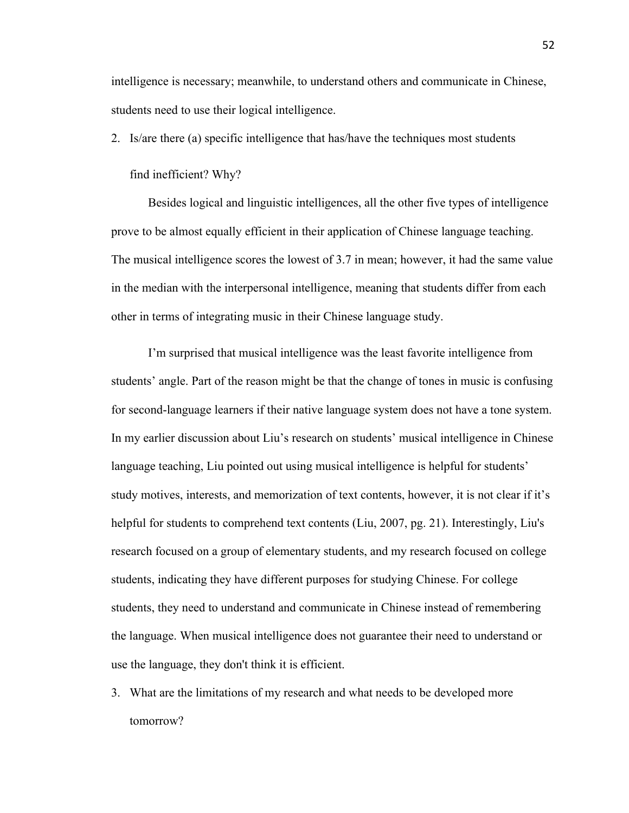intelligence is necessary; meanwhile, to understand others and communicate in Chinese, students need to use their logical intelligence.

2. Is/are there (a) specific intelligence that has/have the techniques most students

#### find inefficient? Why?

Besides logical and linguistic intelligences, all the other five types of intelligence prove to be almost equally efficient in their application of Chinese language teaching. The musical intelligence scores the lowest of 3.7 in mean; however, it had the same value in the median with the interpersonal intelligence, meaning that students differ from each other in terms of integrating music in their Chinese language study.

I'm surprised that musical intelligence was the least favorite intelligence from students' angle. Part of the reason might be that the change of tones in music is confusing for second-language learners if their native language system does not have a tone system. In my earlier discussion about Liu's research on students' musical intelligence in Chinese language teaching, Liu pointed out using musical intelligence is helpful for students' study motives, interests, and memorization of text contents, however, it is not clear if it's helpful for students to comprehend text contents (Liu, 2007, pg. 21). Interestingly, Liu's research focused on a group of elementary students, and my research focused on college students, indicating they have different purposes for studying Chinese. For college students, they need to understand and communicate in Chinese instead of remembering the language. When musical intelligence does not guarantee their need to understand or use the language, they don't think it is efficient.

3. What are the limitations of my research and what needs to be developed more tomorrow?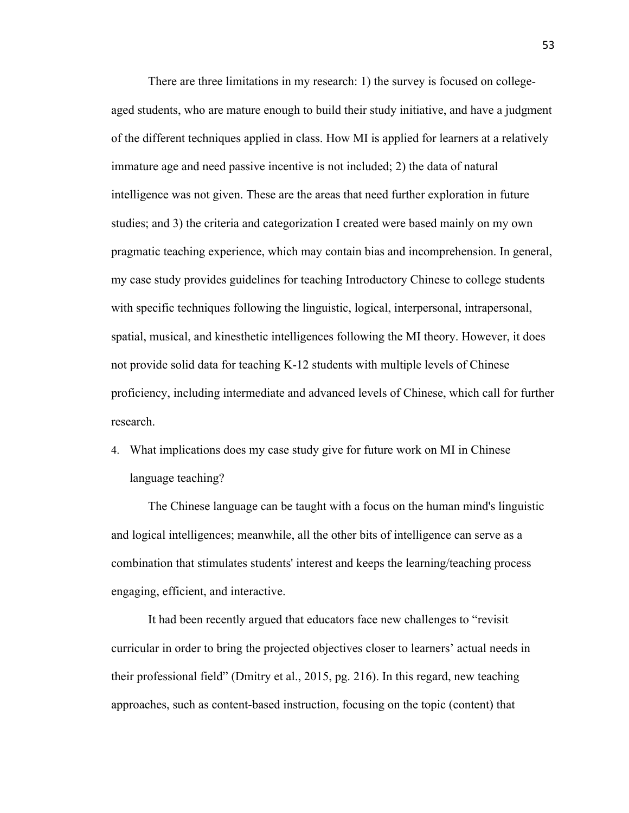There are three limitations in my research: 1) the survey is focused on collegeaged students, who are mature enough to build their study initiative, and have a judgment of the different techniques applied in class. How MI is applied for learners at a relatively immature age and need passive incentive is not included; 2) the data of natural intelligence was not given. These are the areas that need further exploration in future studies; and 3) the criteria and categorization I created were based mainly on my own pragmatic teaching experience, which may contain bias and incomprehension. In general, my case study provides guidelines for teaching Introductory Chinese to college students with specific techniques following the linguistic, logical, interpersonal, intrapersonal, spatial, musical, and kinesthetic intelligences following the MI theory. However, it does not provide solid data for teaching K-12 students with multiple levels of Chinese proficiency, including intermediate and advanced levels of Chinese, which call for further research.

4. What implications does my case study give for future work on MI in Chinese language teaching?

The Chinese language can be taught with a focus on the human mind's linguistic and logical intelligences; meanwhile, all the other bits of intelligence can serve as a combination that stimulates students' interest and keeps the learning/teaching process engaging, efficient, and interactive.

It had been recently argued that educators face new challenges to "revisit curricular in order to bring the projected objectives closer to learners' actual needs in their professional field" (Dmitry et al., 2015, pg. 216). In this regard, new teaching approaches, such as content-based instruction, focusing on the topic (content) that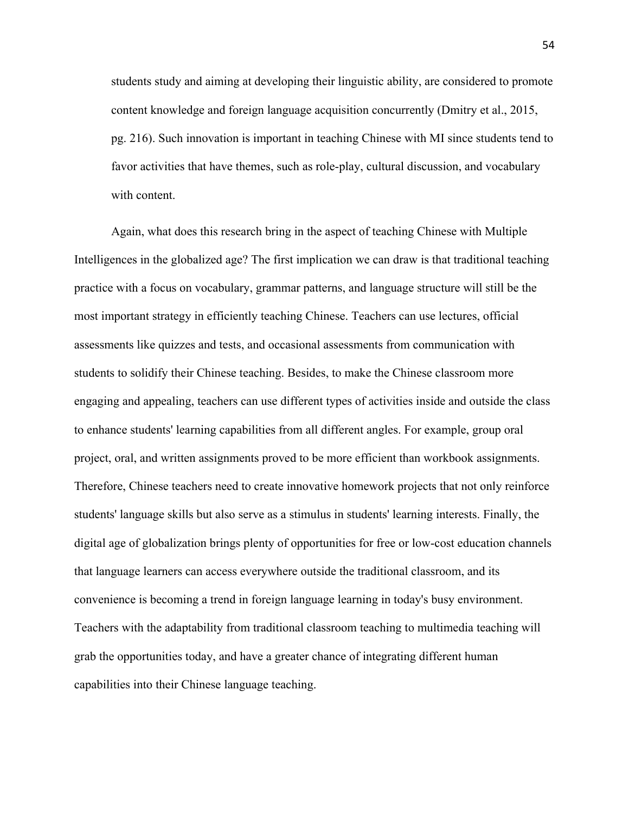students study and aiming at developing their linguistic ability, are considered to promote content knowledge and foreign language acquisition concurrently (Dmitry et al., 2015, pg. 216). Such innovation is important in teaching Chinese with MI since students tend to favor activities that have themes, such as role-play, cultural discussion, and vocabulary with content.

Again, what does this research bring in the aspect of teaching Chinese with Multiple Intelligences in the globalized age? The first implication we can draw is that traditional teaching practice with a focus on vocabulary, grammar patterns, and language structure will still be the most important strategy in efficiently teaching Chinese. Teachers can use lectures, official assessments like quizzes and tests, and occasional assessments from communication with students to solidify their Chinese teaching. Besides, to make the Chinese classroom more engaging and appealing, teachers can use different types of activities inside and outside the class to enhance students' learning capabilities from all different angles. For example, group oral project, oral, and written assignments proved to be more efficient than workbook assignments. Therefore, Chinese teachers need to create innovative homework projects that not only reinforce students' language skills but also serve as a stimulus in students' learning interests. Finally, the digital age of globalization brings plenty of opportunities for free or low-cost education channels that language learners can access everywhere outside the traditional classroom, and its convenience is becoming a trend in foreign language learning in today's busy environment. Teachers with the adaptability from traditional classroom teaching to multimedia teaching will grab the opportunities today, and have a greater chance of integrating different human capabilities into their Chinese language teaching.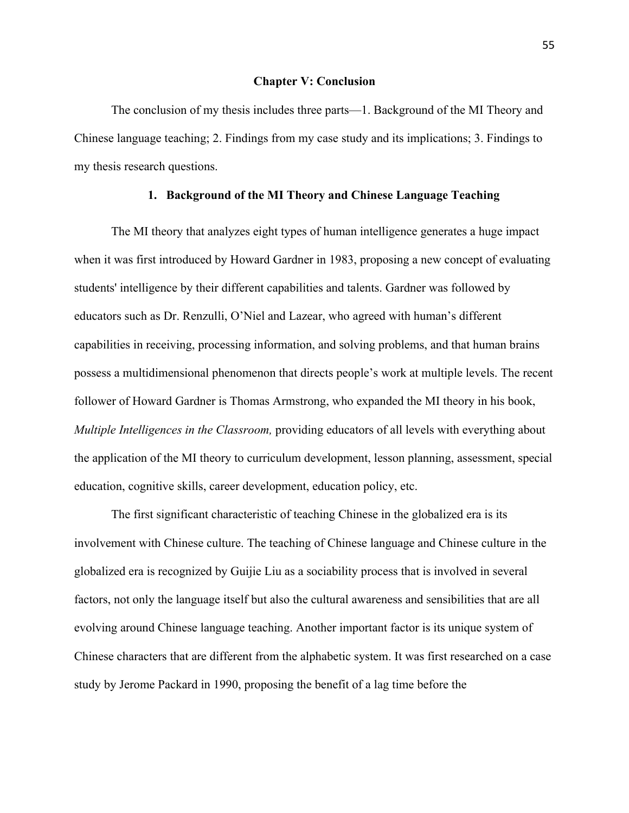#### **Chapter V: Conclusion**

The conclusion of my thesis includes three parts—1. Background of the MI Theory and Chinese language teaching; 2. Findings from my case study and its implications; 3. Findings to my thesis research questions.

#### **1. Background of the MI Theory and Chinese Language Teaching**

The MI theory that analyzes eight types of human intelligence generates a huge impact when it was first introduced by Howard Gardner in 1983, proposing a new concept of evaluating students' intelligence by their different capabilities and talents. Gardner was followed by educators such as Dr. Renzulli, O'Niel and Lazear, who agreed with human's different capabilities in receiving, processing information, and solving problems, and that human brains possess a multidimensional phenomenon that directs people's work at multiple levels. The recent follower of Howard Gardner is Thomas Armstrong, who expanded the MI theory in his book, *Multiple Intelligences in the Classroom,* providing educators of all levels with everything about the application of the MI theory to curriculum development, lesson planning, assessment, special education, cognitive skills, career development, education policy, etc.

The first significant characteristic of teaching Chinese in the globalized era is its involvement with Chinese culture. The teaching of Chinese language and Chinese culture in the globalized era is recognized by Guijie Liu as a sociability process that is involved in several factors, not only the language itself but also the cultural awareness and sensibilities that are all evolving around Chinese language teaching. Another important factor is its unique system of Chinese characters that are different from the alphabetic system. It was first researched on a case study by Jerome Packard in 1990, proposing the benefit of a lag time before the

55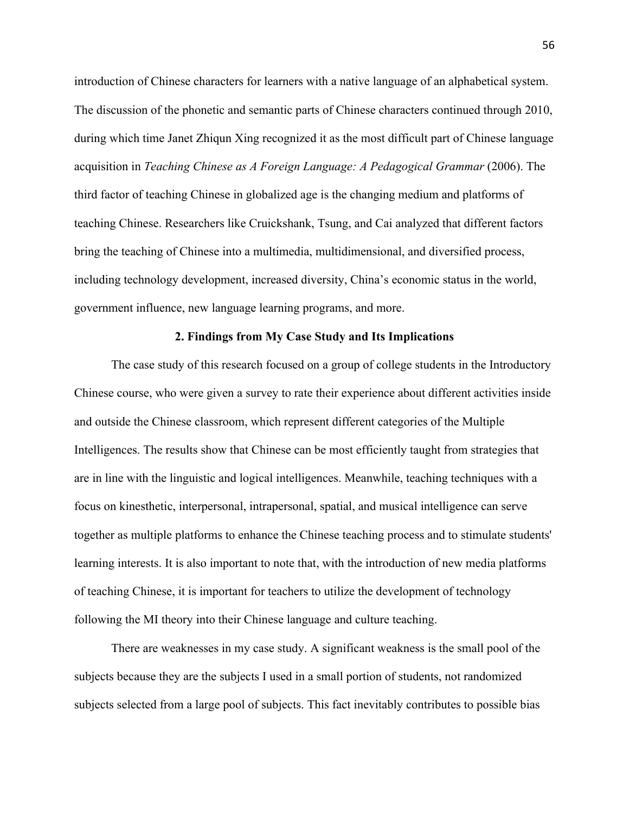introduction of Chinese characters for learners with a native language of an alphabetical system. The discussion of the phonetic and semantic parts of Chinese characters continued through 2010, during which time Janet Zhiqun Xing recognized it as the most difficult part of Chinese language acquisition in *Teaching Chinese as A Foreign Language: A Pedagogical Grammar (2006)*. The third factor of teaching Chinese in globalized age is the changing medium and platforms of teaching Chinese. Researchers like Cruickshank, Tsung, and Cai analyzed that different factors bring the teaching of Chinese into a multimedia, multidimensional, and diversified process, including technology development, increased diversity, China's economic status in the world, government influence, new language learning programs, and more.

#### **2. Findings from My Case Study and Its Implications**

The case study of this research focused on a group of college students in the Introductory Chinese course, who were given a survey to rate their experience about different activities inside and outside the Chinese classroom, which represent different categories of the Multiple Intelligences. The results show that Chinese can be most efficiently taught from strategies that are in line with the linguistic and logical intelligences. Meanwhile, teaching techniques with a focus on kinesthetic, interpersonal, intrapersonal, spatial, and musical intelligence can serve together as multiple platforms to enhance the Chinese teaching process and to stimulate students' learning interests. It is also important to note that, with the introduction of new media platforms of teaching Chinese, it is important for teachers to utilize the development of technology following the MI theory into their Chinese language and culture teaching.

There are weaknesses in my case study. A significant weakness is the small pool of the subjects because they are the subjects I used in a small portion of students, not randomized subjects selected from a large pool of subjects. This fact inevitably contributes to possible bias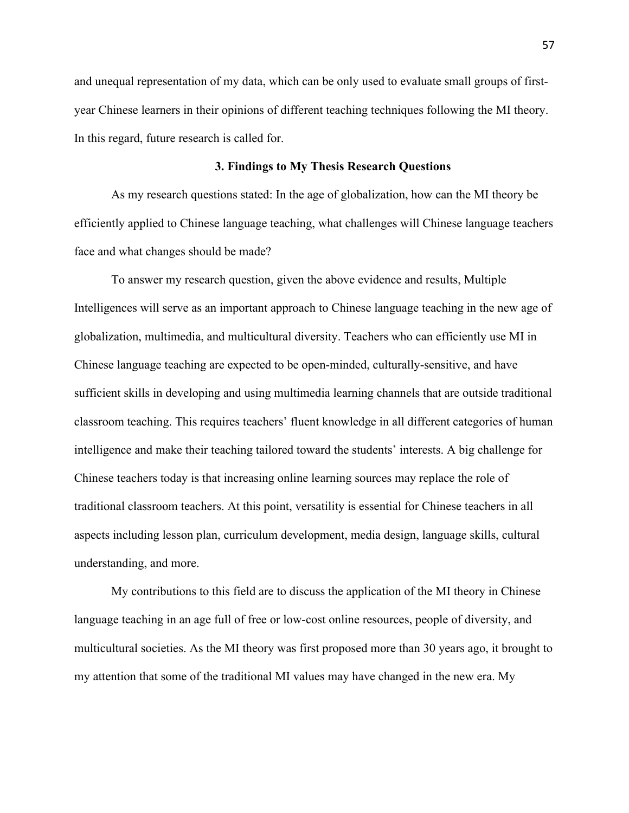and unequal representation of my data, which can be only used to evaluate small groups of firstyear Chinese learners in their opinions of different teaching techniques following the MI theory. In this regard, future research is called for.

#### **3. Findings to My Thesis Research Questions**

As my research questions stated: In the age of globalization, how can the MI theory be efficiently applied to Chinese language teaching, what challenges will Chinese language teachers face and what changes should be made?

To answer my research question, given the above evidence and results, Multiple Intelligences will serve as an important approach to Chinese language teaching in the new age of globalization, multimedia, and multicultural diversity. Teachers who can efficiently use MI in Chinese language teaching are expected to be open-minded, culturally-sensitive, and have sufficient skills in developing and using multimedia learning channels that are outside traditional classroom teaching. This requires teachers' fluent knowledge in all different categories of human intelligence and make their teaching tailored toward the students' interests. A big challenge for Chinese teachers today is that increasing online learning sources may replace the role of traditional classroom teachers. At this point, versatility is essential for Chinese teachers in all aspects including lesson plan, curriculum development, media design, language skills, cultural understanding, and more.

My contributions to this field are to discuss the application of the MI theory in Chinese language teaching in an age full of free or low-cost online resources, people of diversity, and multicultural societies. As the MI theory was first proposed more than 30 years ago, it brought to my attention that some of the traditional MI values may have changed in the new era. My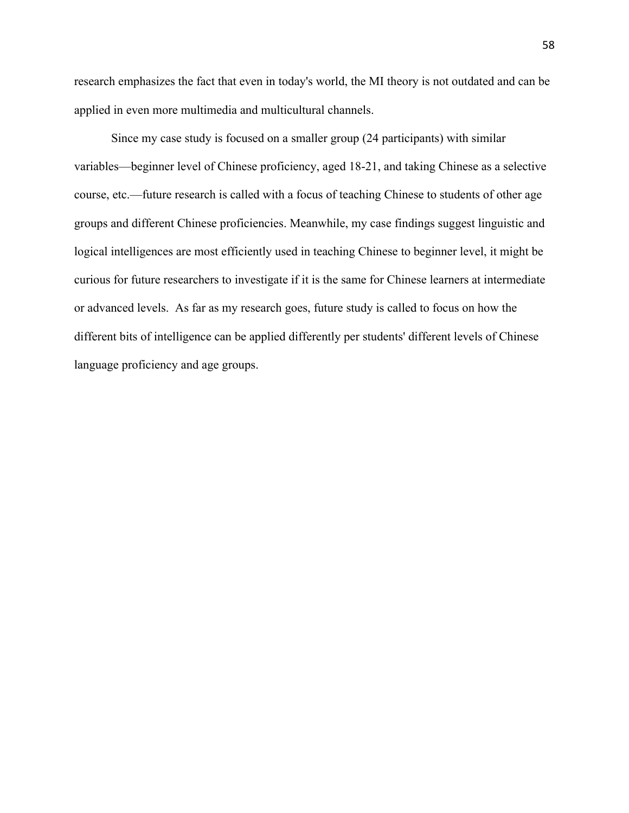research emphasizes the fact that even in today's world, the MI theory is not outdated and can be applied in even more multimedia and multicultural channels.

Since my case study is focused on a smaller group (24 participants) with similar variables—beginner level of Chinese proficiency, aged 18-21, and taking Chinese as a selective course, etc.—future research is called with a focus of teaching Chinese to students of other age groups and different Chinese proficiencies. Meanwhile, my case findings suggest linguistic and logical intelligences are most efficiently used in teaching Chinese to beginner level, it might be curious for future researchers to investigate if it is the same for Chinese learners at intermediate or advanced levels. As far as my research goes, future study is called to focus on how the different bits of intelligence can be applied differently per students' different levels of Chinese language proficiency and age groups.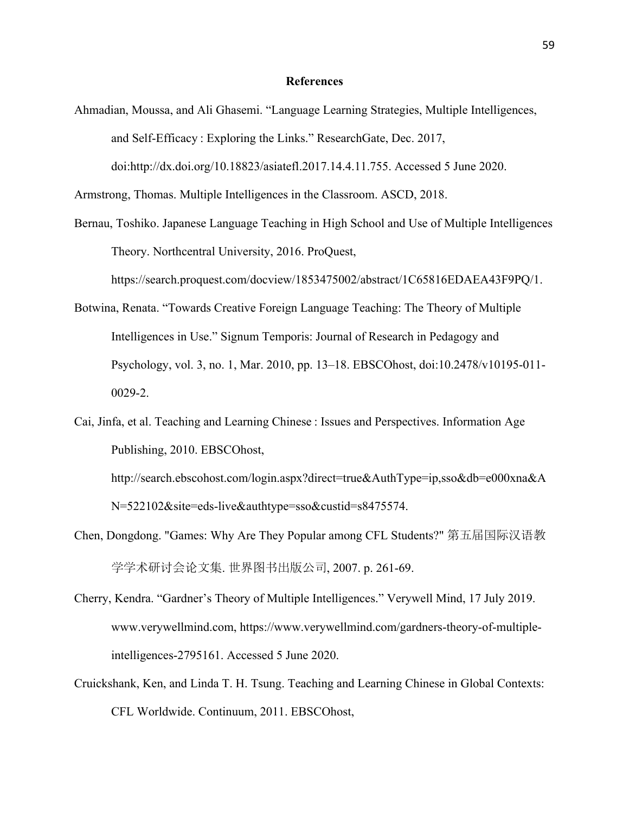#### **References**

Ahmadian, Moussa, and Ali Ghasemi. "Language Learning Strategies, Multiple Intelligences, and Self-Efficacy : Exploring the Links." ResearchGate, Dec. 2017, doi:http://dx.doi.org/10.18823/asiatefl.2017.14.4.11.755. Accessed 5 June 2020.

Armstrong, Thomas. Multiple Intelligences in the Classroom. ASCD, 2018.

Bernau, Toshiko. Japanese Language Teaching in High School and Use of Multiple Intelligences Theory. Northcentral University, 2016. ProQuest,

https://search.proquest.com/docview/1853475002/abstract/1C65816EDAEA43F9PQ/1.

- Botwina, Renata. "Towards Creative Foreign Language Teaching: The Theory of Multiple Intelligences in Use." Signum Temporis: Journal of Research in Pedagogy and Psychology, vol. 3, no. 1, Mar. 2010, pp. 13–18. EBSCOhost, doi:10.2478/v10195-011- 0029-2.
- Cai, Jinfa, et al. Teaching and Learning Chinese : Issues and Perspectives. Information Age Publishing, 2010. EBSCOhost, http://search.ebscohost.com/login.aspx?direct=true&AuthType=ip,sso&db=e000xna&A

N=522102&site=eds-live&authtype=sso&custid=s8475574.

- Chen, Dongdong. "Games: Why Are They Popular among CFL Students?" 第五届国际汉语教 学学术研讨会论文集. 世界图书出版公司, 2007. p. 261-69.
- Cherry, Kendra. "Gardner's Theory of Multiple Intelligences." Verywell Mind, 17 July 2019. www.verywellmind.com, https://www.verywellmind.com/gardners-theory-of-multipleintelligences-2795161. Accessed 5 June 2020.
- Cruickshank, Ken, and Linda T. H. Tsung. Teaching and Learning Chinese in Global Contexts: CFL Worldwide. Continuum, 2011. EBSCOhost,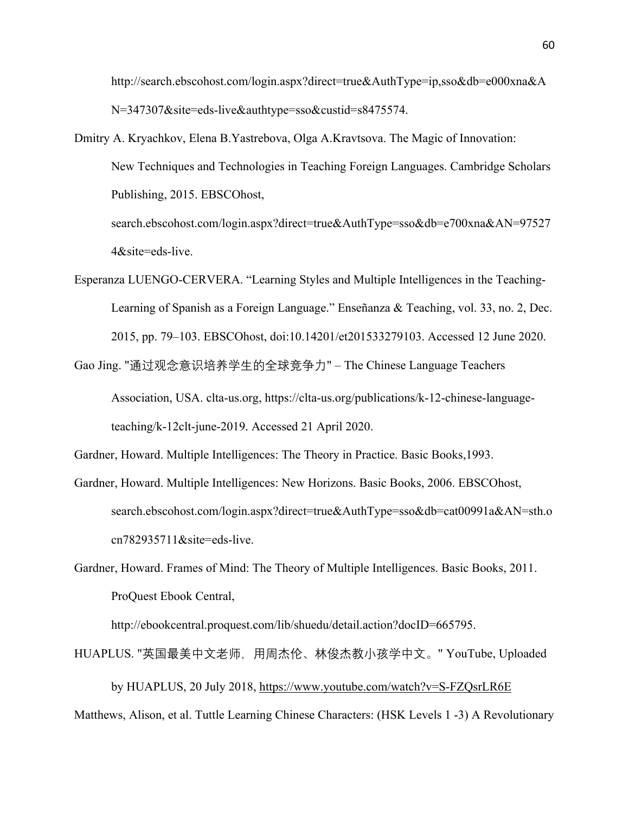http://search.ebscohost.com/login.aspx?direct=true&AuthType=ip,sso&db=e000xna&A N=347307&site=eds-live&authtype=sso&custid=s8475574.

- Dmitry A. Kryachkov, Elena B.Yastrebova, Olga A.Kravtsova. The Magic of Innovation: New Techniques and Technologies in Teaching Foreign Languages. Cambridge Scholars Publishing, 2015. EBSCOhost, search.ebscohost.com/login.aspx?direct=true&AuthType=sso&db=e700xna&AN=97527 4&site=eds-live.
- Esperanza LUENGO-CERVERA. "Learning Styles and Multiple Intelligences in the Teaching-Learning of Spanish as a Foreign Language." Enseñanza & Teaching, vol. 33, no. 2, Dec. 2015, pp. 79–103. EBSCOhost, doi:10.14201/et201533279103. Accessed 12 June 2020.
- Gao Jing. "通过观念意识培养学生的全球竞争力" The Chinese Language Teachers Association, USA. clta-us.org, https://clta-us.org/publications/k-12-chinese-languageteaching/k-12clt-june-2019. Accessed 21 April 2020.

Gardner, Howard. Multiple Intelligences: The Theory in Practice. Basic Books,1993.

- Gardner, Howard. Multiple Intelligences: New Horizons. Basic Books, 2006. EBSCOhost, search.ebscohost.com/login.aspx?direct=true&AuthType=sso&db=cat00991a&AN=sth.o cn782935711&site=eds-live.
- Gardner, Howard. Frames of Mind: The Theory of Multiple Intelligences. Basic Books, 2011. ProQuest Ebook Central,

http://ebookcentral.proquest.com/lib/shuedu/detail.action?docID=665795.

HUAPLUS. "英国最美中文老师, 用周杰伦、林俊杰教小孩学中文。" YouTube, Uploaded

by HUAPLUS, 20 July 2018, https://www.youtube.com/watch?v=S-FZQsrLR6E Matthews, Alison, et al. Tuttle Learning Chinese Characters: (HSK Levels 1 -3) A Revolutionary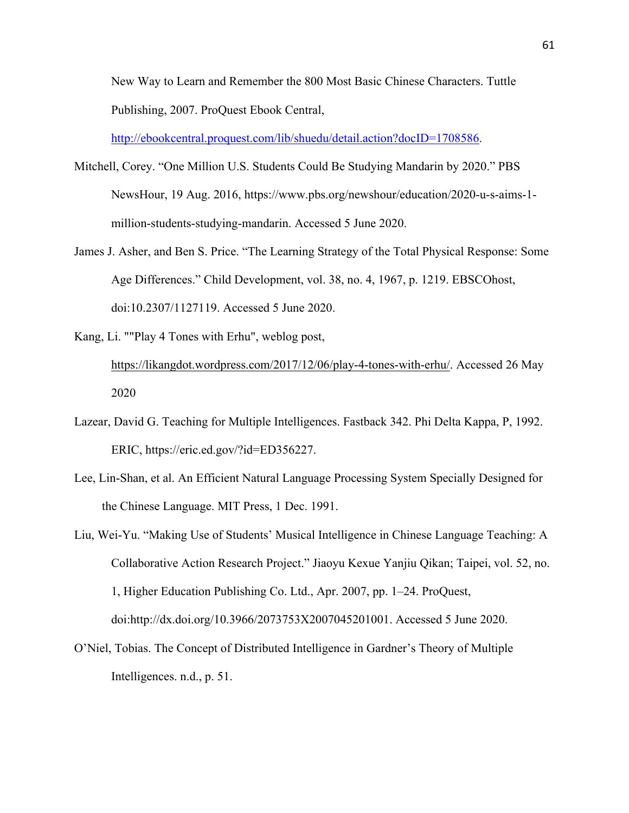New Way to Learn and Remember the 800 Most Basic Chinese Characters. Tuttle Publishing, 2007. ProQuest Ebook Central,

http://ebookcentral.proquest.com/lib/shuedu/detail.action?docID=1708586.

- Mitchell, Corey. "One Million U.S. Students Could Be Studying Mandarin by 2020." PBS NewsHour, 19 Aug. 2016, https://www.pbs.org/newshour/education/2020-u-s-aims-1 million-students-studying-mandarin. Accessed 5 June 2020.
- James J. Asher, and Ben S. Price. "The Learning Strategy of the Total Physical Response: Some Age Differences." Child Development, vol. 38, no. 4, 1967, p. 1219. EBSCOhost, doi:10.2307/1127119. Accessed 5 June 2020.
- Kang, Li. ""Play 4 Tones with Erhu", weblog post, https://likangdot.wordpress.com/2017/12/06/play-4-tones-with-erhu/. Accessed 26 May 2020
- Lazear, David G. Teaching for Multiple Intelligences. Fastback 342. Phi Delta Kappa, P, 1992. ERIC, https://eric.ed.gov/?id=ED356227.
- Lee, Lin-Shan, et al. An Efficient Natural Language Processing System Specially Designed for the Chinese Language. MIT Press, 1 Dec. 1991.
- Liu, Wei-Yu. "Making Use of Students' Musical Intelligence in Chinese Language Teaching: A Collaborative Action Research Project." Jiaoyu Kexue Yanjiu Qikan; Taipei, vol. 52, no. 1, Higher Education Publishing Co. Ltd., Apr. 2007, pp. 1–24. ProQuest, doi:http://dx.doi.org/10.3966/2073753X2007045201001. Accessed 5 June 2020.
- O'Niel, Tobias. The Concept of Distributed Intelligence in Gardner's Theory of Multiple Intelligences. n.d., p. 51.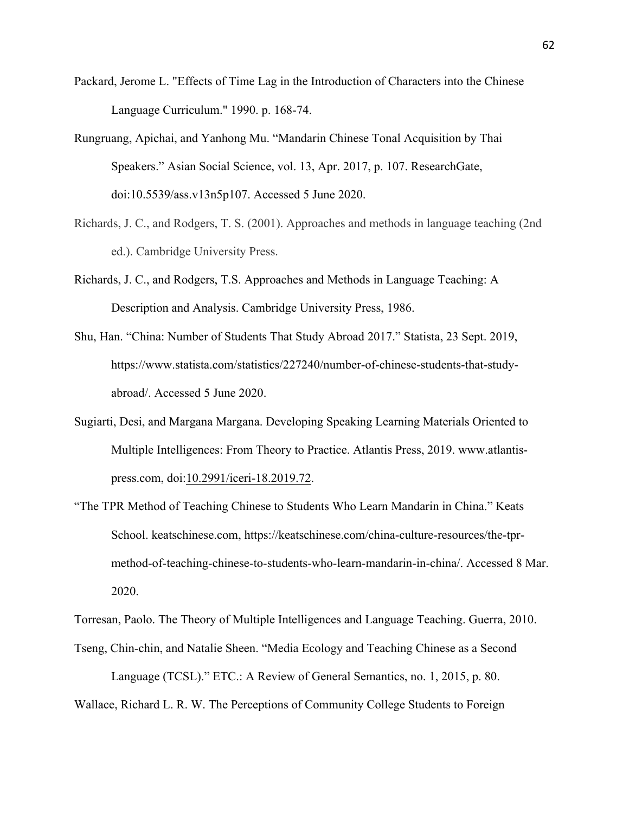- Packard, Jerome L. "Effects of Time Lag in the Introduction of Characters into the Chinese Language Curriculum." 1990. p. 168-74.
- Rungruang, Apichai, and Yanhong Mu. "Mandarin Chinese Tonal Acquisition by Thai Speakers." Asian Social Science, vol. 13, Apr. 2017, p. 107. ResearchGate, doi:10.5539/ass.v13n5p107. Accessed 5 June 2020.
- Richards, J. C., and Rodgers, T. S. (2001). Approaches and methods in language teaching (2nd ed.). Cambridge University Press.
- Richards, J. C., and Rodgers, T.S. Approaches and Methods in Language Teaching: A Description and Analysis. Cambridge University Press, 1986.
- Shu, Han. "China: Number of Students That Study Abroad 2017." Statista, 23 Sept. 2019, https://www.statista.com/statistics/227240/number-of-chinese-students-that-studyabroad/. Accessed 5 June 2020.
- Sugiarti, Desi, and Margana Margana. Developing Speaking Learning Materials Oriented to Multiple Intelligences: From Theory to Practice. Atlantis Press, 2019. www.atlantispress.com, doi:10.2991/iceri-18.2019.72.
- "The TPR Method of Teaching Chinese to Students Who Learn Mandarin in China." Keats School. keatschinese.com, https://keatschinese.com/china-culture-resources/the-tprmethod-of-teaching-chinese-to-students-who-learn-mandarin-in-china/. Accessed 8 Mar. 2020.

Torresan, Paolo. The Theory of Multiple Intelligences and Language Teaching. Guerra, 2010.

Tseng, Chin-chin, and Natalie Sheen. "Media Ecology and Teaching Chinese as a Second

Language (TCSL)." ETC.: A Review of General Semantics, no. 1, 2015, p. 80.

Wallace, Richard L. R. W. The Perceptions of Community College Students to Foreign